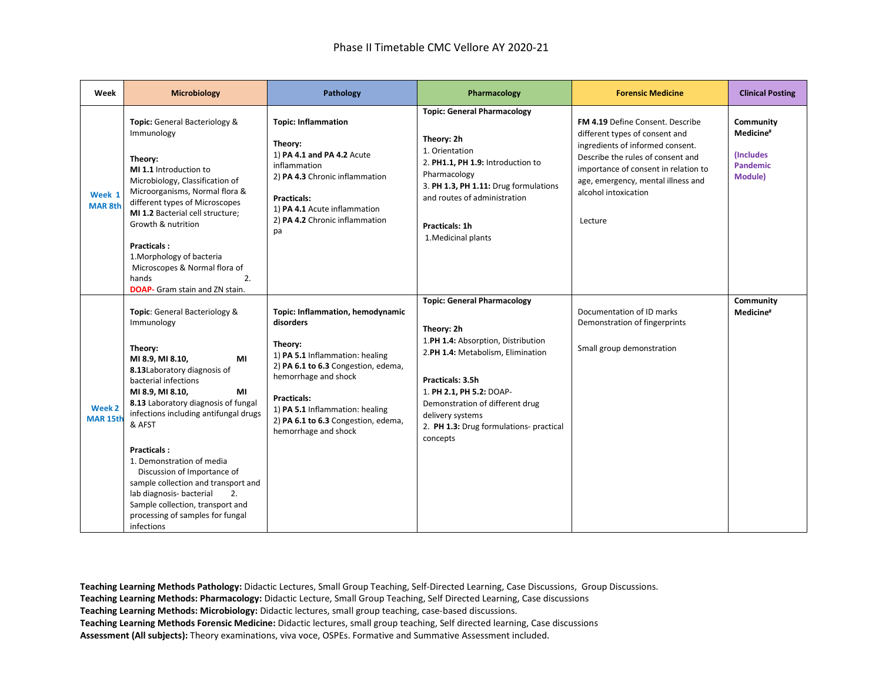| Week                                     | <b>Microbiology</b>                                                                                                                                                                                                                                                                                                                                                                                                                                                                                          | Pathology                                                                                                                                                                                                                                                                   | Pharmacology                                                                                                                                                                                                                                                                              | <b>Forensic Medicine</b>                                                                                                                                                                                                                                            | <b>Clinical Posting</b>                                                               |
|------------------------------------------|--------------------------------------------------------------------------------------------------------------------------------------------------------------------------------------------------------------------------------------------------------------------------------------------------------------------------------------------------------------------------------------------------------------------------------------------------------------------------------------------------------------|-----------------------------------------------------------------------------------------------------------------------------------------------------------------------------------------------------------------------------------------------------------------------------|-------------------------------------------------------------------------------------------------------------------------------------------------------------------------------------------------------------------------------------------------------------------------------------------|---------------------------------------------------------------------------------------------------------------------------------------------------------------------------------------------------------------------------------------------------------------------|---------------------------------------------------------------------------------------|
| Week 1<br><b>MAR 8th</b>                 | Topic: General Bacteriology &<br>Immunology<br>Theory:<br>MI 1.1 Introduction to<br>Microbiology, Classification of<br>Microorganisms, Normal flora &<br>different types of Microscopes<br>MI 1.2 Bacterial cell structure;<br>Growth & nutrition<br><b>Practicals:</b><br>1. Morphology of bacteria<br>Microscopes & Normal flora of<br>hands<br>2.<br><b>DOAP-</b> Gram stain and ZN stain.                                                                                                                | <b>Topic: Inflammation</b><br>Theory:<br>1) PA 4.1 and PA 4.2 Acute<br>inflammation<br>2) PA 4.3 Chronic inflammation<br>Practicals:<br>1) PA 4.1 Acute inflammation<br>2) PA 4.2 Chronic inflammation<br>pa                                                                | <b>Topic: General Pharmacology</b><br>Theory: 2h<br>1. Orientation<br>2. PH1.1, PH 1.9: Introduction to<br>Pharmacology<br>3. PH 1.3, PH 1.11: Drug formulations<br>and routes of administration<br>Practicals: 1h<br>1. Medicinal plants                                                 | <b>FM 4.19 Define Consent. Describe</b><br>different types of consent and<br>ingredients of informed consent.<br>Describe the rules of consent and<br>importance of consent in relation to<br>age, emergency, mental illness and<br>alcohol intoxication<br>Lecture | Community<br>Medicine <sup>#</sup><br><i>(Includes)</i><br><b>Pandemic</b><br>Module) |
| Week <sub>2</sub><br>MAR <sub>15th</sub> | Topic: General Bacteriology &<br>Immunology<br>Theory:<br>MI 8.9, MI 8.10,<br>МI<br>8.13Laboratory diagnosis of<br>bacterial infections<br>MI 8.9, MI 8.10,<br>MI<br>8.13 Laboratory diagnosis of fungal<br>infections including antifungal drugs<br>& AFST<br><b>Practicals:</b><br>1. Demonstration of media<br>Discussion of Importance of<br>sample collection and transport and<br>lab diagnosis- bacterial<br>2.<br>Sample collection, transport and<br>processing of samples for fungal<br>infections | Topic: Inflammation, hemodynamic<br>disorders<br>Theory:<br>1) PA 5.1 Inflammation: healing<br>2) PA 6.1 to 6.3 Congestion, edema,<br>hemorrhage and shock<br>Practicals:<br>1) PA 5.1 Inflammation: healing<br>2) PA 6.1 to 6.3 Congestion, edema,<br>hemorrhage and shock | <b>Topic: General Pharmacology</b><br>Theory: 2h<br>1.PH 1.4: Absorption, Distribution<br>2.PH 1.4: Metabolism, Elimination<br>Practicals: 3.5h<br>1. PH 2.1, PH 5.2: DOAP-<br>Demonstration of different drug<br>delivery systems<br>2. PH 1.3: Drug formulations- practical<br>concepts | Documentation of ID marks<br>Demonstration of fingerprints<br>Small group demonstration                                                                                                                                                                             | Community<br>Medicine <sup>#</sup>                                                    |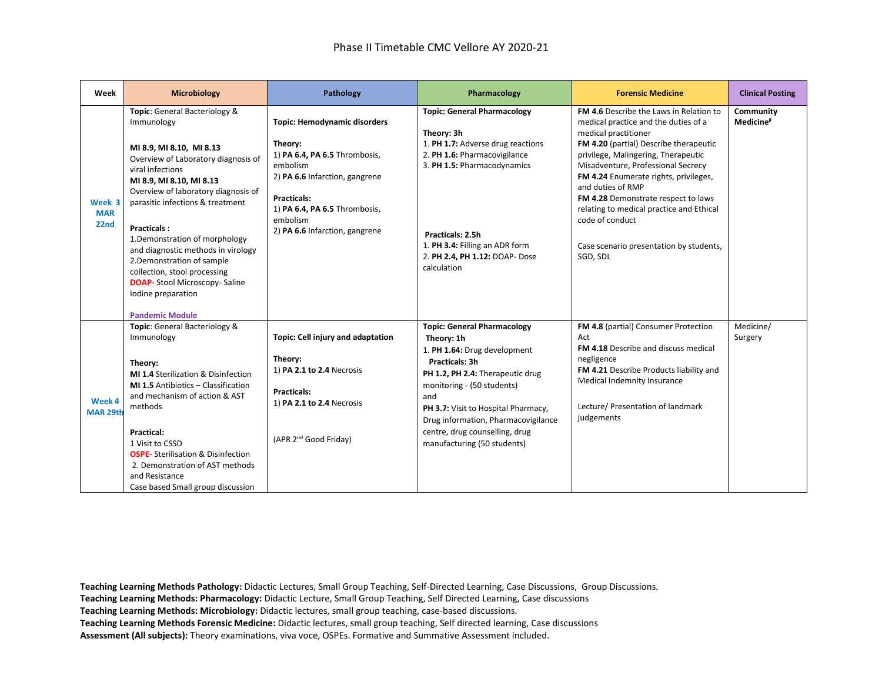| Week                         | <b>Microbiology</b>                                                                                                                                                                                                                                                                                                                                                                                                                                                                            | Pathology                                                                                                                                                                                                                          | Pharmacology                                                                                                                                                                                                                                                                                                               | <b>Forensic Medicine</b>                                                                                                                                                                                                                                                                                                                                                                                                                                  | <b>Clinical Posting</b>            |
|------------------------------|------------------------------------------------------------------------------------------------------------------------------------------------------------------------------------------------------------------------------------------------------------------------------------------------------------------------------------------------------------------------------------------------------------------------------------------------------------------------------------------------|------------------------------------------------------------------------------------------------------------------------------------------------------------------------------------------------------------------------------------|----------------------------------------------------------------------------------------------------------------------------------------------------------------------------------------------------------------------------------------------------------------------------------------------------------------------------|-----------------------------------------------------------------------------------------------------------------------------------------------------------------------------------------------------------------------------------------------------------------------------------------------------------------------------------------------------------------------------------------------------------------------------------------------------------|------------------------------------|
| Week 3<br><b>MAR</b><br>22nd | Topic: General Bacteriology &<br>Immunology<br>MI 8.9, MI 8.10, MI 8.13<br>Overview of Laboratory diagnosis of<br>viral infections<br>MI 8.9, MI 8.10, MI 8.13<br>Overview of laboratory diagnosis of<br>parasitic infections & treatment<br><b>Practicals:</b><br>1. Demonstration of morphology<br>and diagnostic methods in virology<br>2. Demonstration of sample<br>collection, stool processing<br><b>DOAP-</b> Stool Microscopy- Saline<br>Iodine preparation<br><b>Pandemic Module</b> | <b>Topic: Hemodynamic disorders</b><br>Theory:<br>1) PA 6.4, PA 6.5 Thrombosis,<br>embolism<br>2) PA 6.6 Infarction, gangrene<br><b>Practicals:</b><br>1) PA 6.4, PA 6.5 Thrombosis,<br>embolism<br>2) PA 6.6 Infarction, gangrene | <b>Topic: General Pharmacology</b><br>Theory: 3h<br>1. PH 1.7: Adverse drug reactions<br>2. PH 1.6: Pharmacovigilance<br>3. PH 1.5: Pharmacodynamics<br>Practicals: 2.5h<br>1. PH 3.4: Filling an ADR form<br>2. PH 2.4, PH 1.12: DOAP- Dose<br>calculation                                                                | FM 4.6 Describe the Laws in Relation to<br>medical practice and the duties of a<br>medical practitioner<br>FM 4.20 (partial) Describe therapeutic<br>privilege, Malingering, Therapeutic<br>Misadventure, Professional Secrecy<br>FM 4.24 Enumerate rights, privileges,<br>and duties of RMP<br>FM 4.28 Demonstrate respect to laws<br>relating to medical practice and Ethical<br>code of conduct<br>Case scenario presentation by students,<br>SGD, SDL | Community<br>Medicine <sup>#</sup> |
| Week 4<br><b>MAR 29th</b>    | Topic: General Bacteriology &<br>Immunology<br>Theory:<br>MI 1.4 Sterilization & Disinfection<br>MI 1.5 Antibiotics - Classification<br>and mechanism of action & AST<br>methods<br>Practical:<br>1 Visit to CSSD<br><b>OSPE-</b> Sterilisation & Disinfection<br>2. Demonstration of AST methods<br>and Resistance<br>Case based Small group discussion                                                                                                                                       | Topic: Cell injury and adaptation<br>Theory:<br>1) PA 2.1 to 2.4 Necrosis<br><b>Practicals:</b><br>1) PA 2.1 to 2.4 Necrosis<br>(APR 2 <sup>nd</sup> Good Friday)                                                                  | <b>Topic: General Pharmacology</b><br>Theory: 1h<br>1. PH 1.64: Drug development<br>Practicals: 3h<br>PH 1.2, PH 2.4: Therapeutic drug<br>monitoring - (50 students)<br>and<br>PH 3.7: Visit to Hospital Pharmacy,<br>Drug information, Pharmacovigilance<br>centre, drug counselling, drug<br>manufacturing (50 students) | FM 4.8 (partial) Consumer Protection<br>Act<br>FM 4.18 Describe and discuss medical<br>negligence<br>FM 4.21 Describe Products liability and<br>Medical Indemnity Insurance<br>Lecture/ Presentation of landmark<br>judgements                                                                                                                                                                                                                            | Medicine/<br>Surgery               |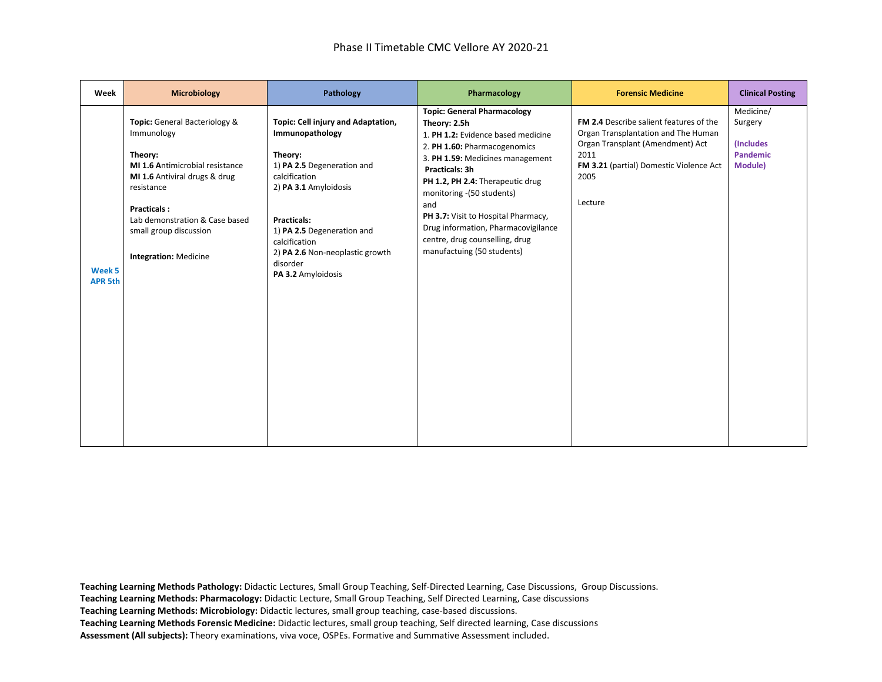| Week                     | <b>Microbiology</b>                                                                                                                                                                                                                                               | Pathology                                                                                                                                                                                                                                                                          | Pharmacology                                                                                                                                                                                                                                                                                                                                                                                         | <b>Forensic Medicine</b>                                                                                                                                                                        | <b>Clinical Posting</b>                                         |
|--------------------------|-------------------------------------------------------------------------------------------------------------------------------------------------------------------------------------------------------------------------------------------------------------------|------------------------------------------------------------------------------------------------------------------------------------------------------------------------------------------------------------------------------------------------------------------------------------|------------------------------------------------------------------------------------------------------------------------------------------------------------------------------------------------------------------------------------------------------------------------------------------------------------------------------------------------------------------------------------------------------|-------------------------------------------------------------------------------------------------------------------------------------------------------------------------------------------------|-----------------------------------------------------------------|
| Week 5<br><b>APR 5th</b> | Topic: General Bacteriology &<br>Immunology<br>Theory:<br><b>MI 1.6 Antimicrobial resistance</b><br>MI 1.6 Antiviral drugs & drug<br>resistance<br><b>Practicals:</b><br>Lab demonstration & Case based<br>small group discussion<br><b>Integration: Medicine</b> | Topic: Cell injury and Adaptation,<br>Immunopathology<br>Theory:<br>1) PA 2.5 Degeneration and<br>calcification<br>2) PA 3.1 Amyloidosis<br><b>Practicals:</b><br>1) PA 2.5 Degeneration and<br>calcification<br>2) PA 2.6 Non-neoplastic growth<br>disorder<br>PA 3.2 Amyloidosis | <b>Topic: General Pharmacology</b><br>Theory: 2.5h<br>1. PH 1.2: Evidence based medicine<br>2. PH 1.60: Pharmacogenomics<br>3. PH 1.59: Medicines management<br>Practicals: 3h<br>PH 1.2, PH 2.4: Therapeutic drug<br>monitoring -(50 students)<br>and<br>PH 3.7: Visit to Hospital Pharmacy,<br>Drug information, Pharmacovigilance<br>centre, drug counselling, drug<br>manufactuing (50 students) | <b>FM 2.4</b> Describe salient features of the<br>Organ Transplantation and The Human<br>Organ Transplant (Amendment) Act<br>2011<br>FM 3.21 (partial) Domestic Violence Act<br>2005<br>Lecture | Medicine/<br>Surgery<br>(Includes<br><b>Pandemic</b><br>Module) |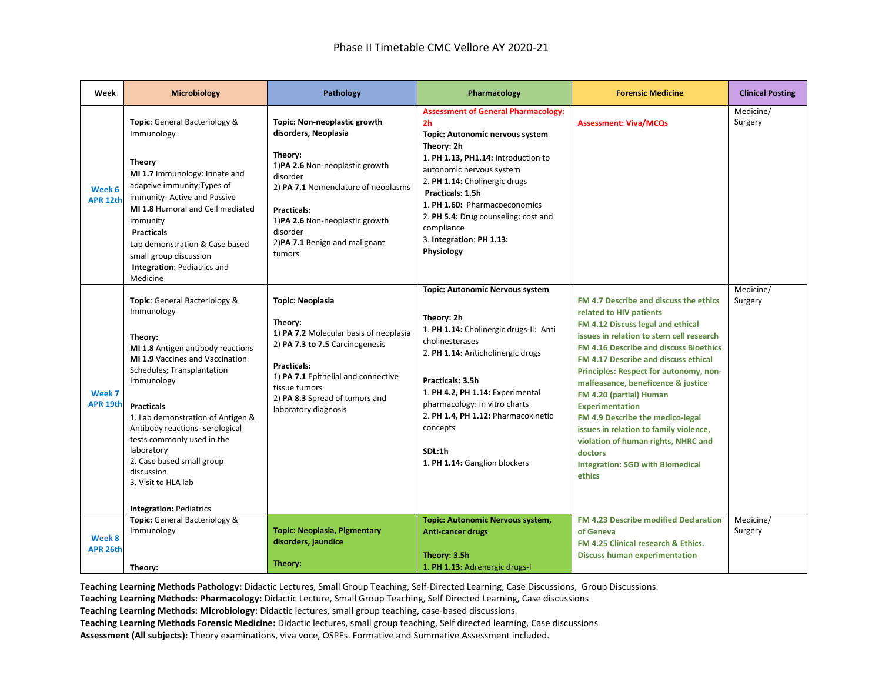| Week                          | <b>Microbiology</b>                                                                                                                                                                                                                                                                                                                                                                          | Pathology                                                                                                                                                                                                                                                             | Pharmacology                                                                                                                                                                                                                                                                                                                                                           | <b>Forensic Medicine</b>                                                                                                                                                                                                                                                                                                                                                                                                                                                                                                                                       | <b>Clinical Posting</b> |
|-------------------------------|----------------------------------------------------------------------------------------------------------------------------------------------------------------------------------------------------------------------------------------------------------------------------------------------------------------------------------------------------------------------------------------------|-----------------------------------------------------------------------------------------------------------------------------------------------------------------------------------------------------------------------------------------------------------------------|------------------------------------------------------------------------------------------------------------------------------------------------------------------------------------------------------------------------------------------------------------------------------------------------------------------------------------------------------------------------|----------------------------------------------------------------------------------------------------------------------------------------------------------------------------------------------------------------------------------------------------------------------------------------------------------------------------------------------------------------------------------------------------------------------------------------------------------------------------------------------------------------------------------------------------------------|-------------------------|
| Week 6<br><b>APR 12th</b>     | Topic: General Bacteriology &<br>Immunology<br><b>Theory</b><br>MI 1.7 Immunology: Innate and<br>adaptive immunity; Types of<br>immunity- Active and Passive<br>MI 1.8 Humoral and Cell mediated<br>immunity<br><b>Practicals</b><br>Lab demonstration & Case based<br>small group discussion<br>Integration: Pediatrics and<br>Medicine                                                     | Topic: Non-neoplastic growth<br>disorders, Neoplasia<br>Theory:<br>1) PA 2.6 Non-neoplastic growth<br>disorder<br>2) PA 7.1 Nomenclature of neoplasms<br><b>Practicals:</b><br>1)PA 2.6 Non-neoplastic growth<br>disorder<br>2) PA 7.1 Benign and malignant<br>tumors | <b>Assessment of General Pharmacology:</b><br>2 <sub>h</sub><br>Topic: Autonomic nervous system<br>Theory: 2h<br>1. PH 1.13, PH1.14: Introduction to<br>autonomic nervous system<br>2. PH 1.14: Cholinergic drugs<br>Practicals: 1.5h<br>1. PH 1.60: Pharmacoeconomics<br>2. PH 5.4: Drug counseling: cost and<br>compliance<br>3. Integration: PH 1.13:<br>Physiology | <b>Assessment: Viva/MCQs</b>                                                                                                                                                                                                                                                                                                                                                                                                                                                                                                                                   | Medicine/<br>Surgery    |
| Week 7<br>APR <sub>19th</sub> | Topic: General Bacteriology &<br>Immunology<br>Theory:<br>MI 1.8 Antigen antibody reactions<br><b>MI 1.9 Vaccines and Vaccination</b><br>Schedules; Transplantation<br>Immunology<br><b>Practicals</b><br>1. Lab demonstration of Antigen &<br>Antibody reactions- serological<br>tests commonly used in the<br>laboratory<br>2. Case based small group<br>discussion<br>3. Visit to HLA lab | <b>Topic: Neoplasia</b><br>Theory:<br>1) PA 7.2 Molecular basis of neoplasia<br>2) PA 7.3 to 7.5 Carcinogenesis<br><b>Practicals:</b><br>1) PA 7.1 Epithelial and connective<br>tissue tumors<br>2) PA 8.3 Spread of tumors and<br>laboratory diagnosis               | <b>Topic: Autonomic Nervous system</b><br>Theory: 2h<br>1. PH 1.14: Cholinergic drugs-II: Anti<br>cholinesterases<br>2. PH 1.14: Anticholinergic drugs<br>Practicals: 3.5h<br>1. PH 4.2, PH 1.14: Experimental<br>pharmacology: In vitro charts<br>2. PH 1.4, PH 1.12: Pharmacokinetic<br>concepts<br>SDL:1h<br>1. PH 1.14: Ganglion blockers                          | FM 4.7 Describe and discuss the ethics<br>related to HIV patients<br>FM 4.12 Discuss legal and ethical<br>issues in relation to stem cell research<br>FM 4.16 Describe and discuss Bioethics<br>FM 4.17 Describe and discuss ethical<br>Principles: Respect for autonomy, non-<br>malfeasance, beneficence & justice<br>FM 4.20 (partial) Human<br><b>Experimentation</b><br>FM 4.9 Describe the medico-legal<br>issues in relation to family violence,<br>violation of human rights, NHRC and<br>doctors<br><b>Integration: SGD with Biomedical</b><br>ethics | Medicine/<br>Surgery    |
| Week 8<br><b>APR 26th</b>     | <b>Integration: Pediatrics</b><br>Topic: General Bacteriology &<br>Immunology<br>Theory:                                                                                                                                                                                                                                                                                                     | <b>Topic: Neoplasia, Pigmentary</b><br>disorders, jaundice<br>Theory:                                                                                                                                                                                                 | Topic: Autonomic Nervous system,<br><b>Anti-cancer drugs</b><br>Theory: 3.5h<br>1. PH 1.13: Adrenergic drugs-I                                                                                                                                                                                                                                                         | FM 4.23 Describe modified Declaration<br>of Geneva<br>FM 4.25 Clinical research & Ethics.<br><b>Discuss human experimentation</b>                                                                                                                                                                                                                                                                                                                                                                                                                              | Medicine/<br>Surgery    |

**Teaching Learning Methods: Pharmacology:** Didactic Lecture, Small Group Teaching, Self Directed Learning, Case discussions

**Teaching Learning Methods: Microbiology:** Didactic lectures, small group teaching, case-based discussions.

**Teaching Learning Methods Forensic Medicine:** Didactic lectures, small group teaching, Self directed learning, Case discussions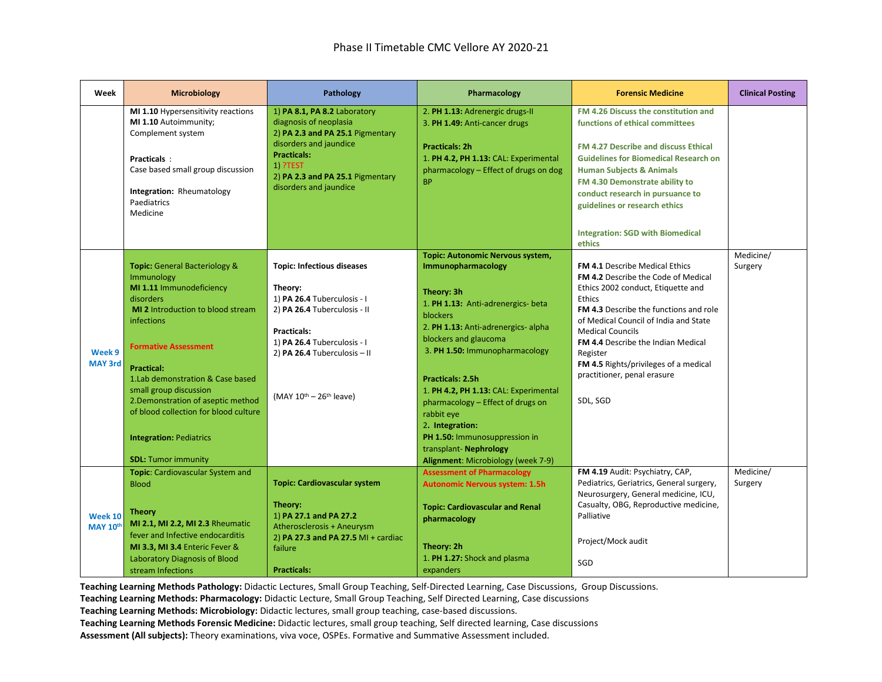| Week                              | <b>Microbiology</b>                                                                                                                                                                                                                                                                                                                                                                                                     | Pathology                                                                                                                                                                                                                      | Pharmacology                                                                                                                                                                                                                                                                                                                                                                                                                                                                      | <b>Forensic Medicine</b>                                                                                                                                                                                                                                                                                                                                                                       | <b>Clinical Posting</b> |
|-----------------------------------|-------------------------------------------------------------------------------------------------------------------------------------------------------------------------------------------------------------------------------------------------------------------------------------------------------------------------------------------------------------------------------------------------------------------------|--------------------------------------------------------------------------------------------------------------------------------------------------------------------------------------------------------------------------------|-----------------------------------------------------------------------------------------------------------------------------------------------------------------------------------------------------------------------------------------------------------------------------------------------------------------------------------------------------------------------------------------------------------------------------------------------------------------------------------|------------------------------------------------------------------------------------------------------------------------------------------------------------------------------------------------------------------------------------------------------------------------------------------------------------------------------------------------------------------------------------------------|-------------------------|
|                                   | MI 1.10 Hypersensitivity reactions<br>MI 1.10 Autoimmunity;<br>Complement system<br>Practicals:<br>Case based small group discussion<br>Integration: Rheumatology<br>Paediatrics<br>Medicine                                                                                                                                                                                                                            | 1) PA 8.1, PA 8.2 Laboratory<br>diagnosis of neoplasia<br>2) PA 2.3 and PA 25.1 Pigmentary<br>disorders and jaundice<br><b>Practicals:</b><br>1) ?TEST<br>2) PA 2.3 and PA 25.1 Pigmentary<br>disorders and jaundice           | 2. PH 1.13: Adrenergic drugs-II<br>3. PH 1.49: Anti-cancer drugs<br><b>Practicals: 2h</b><br>1. PH 4.2, PH 1.13: CAL: Experimental<br>pharmacology - Effect of drugs on dog<br><b>BP</b>                                                                                                                                                                                                                                                                                          | FM 4.26 Discuss the constitution and<br>functions of ethical committees<br>FM 4.27 Describe and discuss Ethical<br><b>Guidelines for Biomedical Research on</b><br><b>Human Subjects &amp; Animals</b><br>FM 4.30 Demonstrate ability to<br>conduct research in pursuance to<br>guidelines or research ethics<br><b>Integration: SGD with Biomedical</b><br>ethics                             |                         |
| Week 9<br><b>MAY 3rd</b>          | <b>Topic:</b> General Bacteriology &<br>Immunology<br>MI 1.11 Immunodeficiency<br>disorders<br><b>MI 2</b> Introduction to blood stream<br>infections<br><b>Formative Assessment</b><br><b>Practical:</b><br>1. Lab demonstration & Case based<br>small group discussion<br>2. Demonstration of aseptic method<br>of blood collection for blood culture<br><b>Integration: Pediatrics</b><br><b>SDL: Tumor immunity</b> | <b>Topic: Infectious diseases</b><br>Theory:<br>1) PA 26.4 Tuberculosis - I<br>2) PA 26.4 Tuberculosis - II<br>Practicals:<br>1) PA 26.4 Tuberculosis - I<br>2) PA 26.4 Tuberculosis - II<br>(MAY $10^{th}$ – $26^{th}$ leave) | <b>Topic: Autonomic Nervous system,</b><br>Immunopharmacology<br>Theory: 3h<br>1. PH 1.13: Anti-adrenergics- beta<br>blockers<br>2. PH 1.13: Anti-adrenergics- alpha<br>blockers and glaucoma<br>3. PH 1.50: Immunopharmacology<br><b>Practicals: 2.5h</b><br>1. PH 4.2, PH 1.13: CAL: Experimental<br>pharmacology - Effect of drugs on<br>rabbit eye<br>2. Integration:<br>PH 1.50: Immunosuppression in<br>transplant- Nephrology<br><b>Alignment:</b> Microbiology (week 7-9) | <b>FM 4.1 Describe Medical Ethics</b><br><b>FM 4.2 Describe the Code of Medical</b><br>Ethics 2002 conduct, Etiquette and<br>Ethics<br><b>FM 4.3</b> Describe the functions and role<br>of Medical Council of India and State<br><b>Medical Councils</b><br>FM 4.4 Describe the Indian Medical<br>Register<br>FM 4.5 Rights/privileges of a medical<br>practitioner, penal erasure<br>SDL, SGD | Medicine/<br>Surgery    |
| <b>Week 10</b><br><b>MAY 10th</b> | Topic: Cardiovascular System and<br><b>Blood</b><br><b>Theory</b><br>MI 2.1, MI 2.2, MI 2.3 Rheumatic<br>fever and Infective endocarditis<br>MI 3.3, MI 3.4 Enteric Fever &<br>Laboratory Diagnosis of Blood<br>stream Infections                                                                                                                                                                                       | <b>Topic: Cardiovascular system</b><br>Theory:<br>1) PA 27.1 and PA 27.2<br>Atherosclerosis + Aneurysm<br>2) PA 27.3 and PA 27.5 MI + cardiac<br>failure<br><b>Practicals:</b>                                                 | <b>Assessment of Pharmacology</b><br><b>Autonomic Nervous system: 1.5h</b><br><b>Topic: Cardiovascular and Renal</b><br>pharmacology<br>Theory: 2h<br>1. PH 1.27: Shock and plasma<br>expanders                                                                                                                                                                                                                                                                                   | FM 4.19 Audit: Psychiatry, CAP,<br>Pediatrics, Geriatrics, General surgery,<br>Neurosurgery, General medicine, ICU,<br>Casualty, OBG, Reproductive medicine,<br>Palliative<br>Project/Mock audit<br>SGD                                                                                                                                                                                        | Medicine/<br>Surgery    |

**Teaching Learning Methods Pathology:** Didactic Lectures, Small Group Teaching, Self-Directed Learning, Case Discussions, Group Discussions.

**Teaching Learning Methods: Pharmacology:** Didactic Lecture, Small Group Teaching, Self Directed Learning, Case discussions

**Teaching Learning Methods: Microbiology:** Didactic lectures, small group teaching, case-based discussions.

**Teaching Learning Methods Forensic Medicine:** Didactic lectures, small group teaching, Self directed learning, Case discussions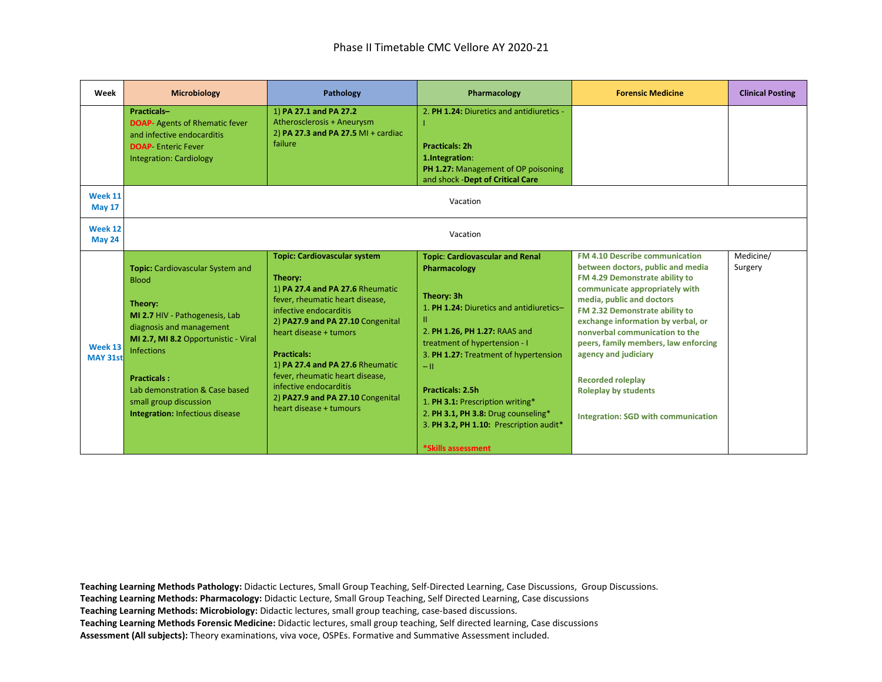| Week                     | <b>Microbiology</b>                                                                                                                                                                                                                                                                                                | Pathology                                                                                                                                                                                                                                                                                                                                                                                             | Pharmacology                                                                                                                                                                                                                                                                                                                                                                                                     | <b>Forensic Medicine</b>                                                                                                                                                                                                                                                                                                                                                                                                                                | <b>Clinical Posting</b> |
|--------------------------|--------------------------------------------------------------------------------------------------------------------------------------------------------------------------------------------------------------------------------------------------------------------------------------------------------------------|-------------------------------------------------------------------------------------------------------------------------------------------------------------------------------------------------------------------------------------------------------------------------------------------------------------------------------------------------------------------------------------------------------|------------------------------------------------------------------------------------------------------------------------------------------------------------------------------------------------------------------------------------------------------------------------------------------------------------------------------------------------------------------------------------------------------------------|---------------------------------------------------------------------------------------------------------------------------------------------------------------------------------------------------------------------------------------------------------------------------------------------------------------------------------------------------------------------------------------------------------------------------------------------------------|-------------------------|
|                          | Practicals-<br><b>DOAP-</b> Agents of Rhematic fever<br>and infective endocarditis<br><b>DOAP</b> Enteric Fever<br><b>Integration: Cardiology</b>                                                                                                                                                                  | 1) PA 27.1 and PA 27.2<br>Atherosclerosis + Aneurysm<br>2) PA 27.3 and PA 27.5 MI + cardiac<br>failure                                                                                                                                                                                                                                                                                                | 2. PH 1.24: Diuretics and antidiuretics -<br><b>Practicals: 2h</b><br>1.Integration:<br>PH 1.27: Management of OP poisoning<br>and shock -Dept of Critical Care                                                                                                                                                                                                                                                  |                                                                                                                                                                                                                                                                                                                                                                                                                                                         |                         |
| Week 11<br><b>May 17</b> |                                                                                                                                                                                                                                                                                                                    |                                                                                                                                                                                                                                                                                                                                                                                                       | Vacation                                                                                                                                                                                                                                                                                                                                                                                                         |                                                                                                                                                                                                                                                                                                                                                                                                                                                         |                         |
| Week 12<br><b>May 24</b> |                                                                                                                                                                                                                                                                                                                    |                                                                                                                                                                                                                                                                                                                                                                                                       | Vacation                                                                                                                                                                                                                                                                                                                                                                                                         |                                                                                                                                                                                                                                                                                                                                                                                                                                                         |                         |
| Week 13<br>MAY 31st      | <b>Topic:</b> Cardiovascular System and<br><b>Blood</b><br>Theory:<br>MI 2.7 HIV - Pathogenesis, Lab<br>diagnosis and management<br>MI 2.7, MI 8.2 Opportunistic - Viral<br><b>Infections</b><br><b>Practicals:</b><br>Lab demonstration & Case based<br>small group discussion<br>Integration: Infectious disease | <b>Topic: Cardiovascular system</b><br>Theory:<br>1) PA 27.4 and PA 27.6 Rheumatic<br>fever, rheumatic heart disease,<br>infective endocarditis<br>2) PA27.9 and PA 27.10 Congenital<br>heart disease + tumors<br><b>Practicals:</b><br>1) PA 27.4 and PA 27.6 Rheumatic<br>fever, rheumatic heart disease,<br>infective endocarditis<br>2) PA27.9 and PA 27.10 Congenital<br>heart disease + tumours | <b>Topic: Cardiovascular and Renal</b><br>Pharmacology<br>Theory: 3h<br>1. PH 1.24: Diuretics and antidiuretics-<br>ш<br>2. PH 1.26, PH 1.27: RAAS and<br>treatment of hypertension - I<br>3. PH 1.27: Treatment of hypertension<br>$-11$<br><b>Practicals: 2.5h</b><br>1. PH 3.1: Prescription writing*<br>2. PH 3.1, PH 3.8: Drug counseling*<br>3. PH 3.2, PH 1.10: Prescription audit*<br>*Skills assessment | FM 4.10 Describe communication<br>between doctors, public and media<br>FM 4.29 Demonstrate ability to<br>communicate appropriately with<br>media, public and doctors<br>FM 2.32 Demonstrate ability to<br>exchange information by verbal, or<br>nonverbal communication to the<br>peers, family members, law enforcing<br>agency and judiciary<br><b>Recorded roleplay</b><br><b>Roleplay by students</b><br><b>Integration: SGD with communication</b> | Medicine/<br>Surgery    |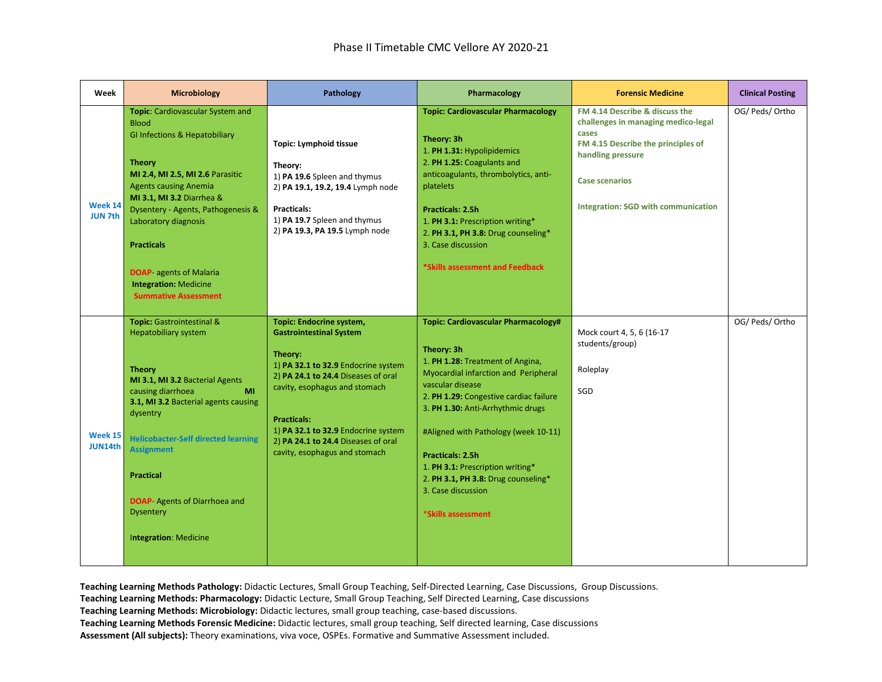| Week                      | <b>Microbiology</b>                                                                                                                                                                                                                                                                                                                                                                                | Pathology                                                                                                                                                                                                                                                                                                                 | Pharmacology                                                                                                                                                                                                                                                                                                                                                                                                               | <b>Forensic Medicine</b>                                                                                                                                                                                         | <b>Clinical Posting</b> |
|---------------------------|----------------------------------------------------------------------------------------------------------------------------------------------------------------------------------------------------------------------------------------------------------------------------------------------------------------------------------------------------------------------------------------------------|---------------------------------------------------------------------------------------------------------------------------------------------------------------------------------------------------------------------------------------------------------------------------------------------------------------------------|----------------------------------------------------------------------------------------------------------------------------------------------------------------------------------------------------------------------------------------------------------------------------------------------------------------------------------------------------------------------------------------------------------------------------|------------------------------------------------------------------------------------------------------------------------------------------------------------------------------------------------------------------|-------------------------|
| Week 14<br><b>JUN 7th</b> | Topic: Cardiovascular System and<br><b>Blood</b><br><b>GI Infections &amp; Hepatobiliary</b><br><b>Theory</b><br>MI 2.4, MI 2.5, MI 2.6 Parasitic<br><b>Agents causing Anemia</b><br>MI 3.1, MI 3.2 Diarrhea &<br>Dysentery - Agents, Pathogenesis &<br>Laboratory diagnosis<br><b>Practicals</b><br><b>DOAP-</b> agents of Malaria<br><b>Integration: Medicine</b><br><b>Summative Assessment</b> | <b>Topic: Lymphoid tissue</b><br>Theory:<br>1) PA 19.6 Spleen and thymus<br>2) PA 19.1, 19.2, 19.4 Lymph node<br><b>Practicals:</b><br>1) PA 19.7 Spleen and thymus<br>2) PA 19.3, PA 19.5 Lymph node                                                                                                                     | <b>Topic: Cardiovascular Pharmacology</b><br>Theory: 3h<br>1. PH 1.31: Hypolipidemics<br>2. PH 1.25: Coagulants and<br>anticoagulants, thrombolytics, anti-<br>platelets<br><b>Practicals: 2.5h</b><br>1. PH 3.1: Prescription writing*<br>2. PH 3.1, PH 3.8: Drug counseling*<br>3. Case discussion<br>*Skills assessment and Feedback                                                                                    | FM 4.14 Describe & discuss the<br>challenges in managing medico-legal<br>cases<br>FM 4.15 Describe the principles of<br>handling pressure<br><b>Case scenarios</b><br><b>Integration: SGD with communication</b> | OG/ Peds/ Ortho         |
| <b>Week 15</b><br>JUN14th | Topic: Gastrointestinal &<br><b>Hepatobiliary system</b><br><b>Theory</b><br>MI 3.1, MI 3.2 Bacterial Agents<br>causing diarrhoea<br>MI<br>3.1, MI 3.2 Bacterial agents causing<br>dysentry<br><b>Helicobacter-Self directed learning</b><br><b>Assignment</b><br><b>Practical</b><br><b>DOAP-</b> Agents of Diarrhoea and<br><b>Dysentery</b><br>Integration: Medicine                            | Topic: Endocrine system,<br><b>Gastrointestinal System</b><br>Theory:<br>1) PA 32.1 to 32.9 Endocrine system<br>2) PA 24.1 to 24.4 Diseases of oral<br>cavity, esophagus and stomach<br><b>Practicals:</b><br>1) PA 32.1 to 32.9 Endocrine system<br>2) PA 24.1 to 24.4 Diseases of oral<br>cavity, esophagus and stomach | <b>Topic: Cardiovascular Pharmacology#</b><br>Theory: 3h<br>1. PH 1.28: Treatment of Angina,<br>Myocardial infarction and Peripheral<br>vascular disease<br>2. PH 1.29: Congestive cardiac failure<br>3. PH 1.30: Anti-Arrhythmic drugs<br>#Aligned with Pathology (week 10-11)<br>Practicals: 2.5h<br>1. PH 3.1: Prescription writing*<br>2. PH 3.1, PH 3.8: Drug counseling*<br>3. Case discussion<br>*Skills assessment | Mock court 4, 5, 6 (16-17<br>students/group)<br>Roleplay<br>SGD                                                                                                                                                  | OG/ Peds/ Ortho         |

**Teaching Learning Methods: Pharmacology:** Didactic Lecture, Small Group Teaching, Self Directed Learning, Case discussions

**Teaching Learning Methods: Microbiology:** Didactic lectures, small group teaching, case-based discussions.

**Teaching Learning Methods Forensic Medicine:** Didactic lectures, small group teaching, Self directed learning, Case discussions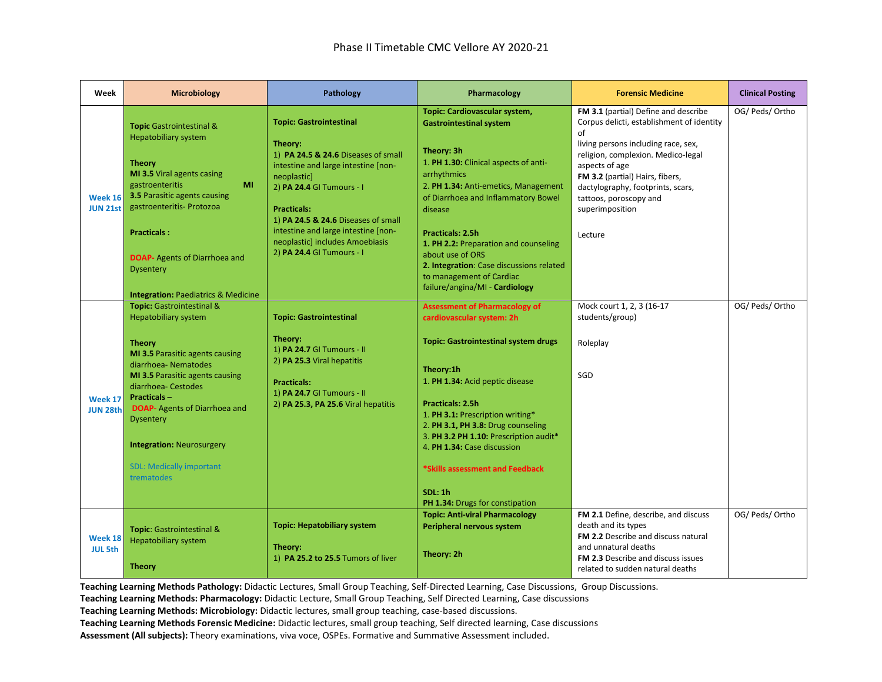| Week                              | <b>Microbiology</b>                                                                                                                                                                                                                                                                                                                                                                     | Pathology                                                                                                                                                                                                                                                                                                                               | Pharmacology                                                                                                                                                                                                                                                                                                                                                                                                                           | <b>Forensic Medicine</b>                                                                                                                                                                                                                                                                                               | <b>Clinical Posting</b> |
|-----------------------------------|-----------------------------------------------------------------------------------------------------------------------------------------------------------------------------------------------------------------------------------------------------------------------------------------------------------------------------------------------------------------------------------------|-----------------------------------------------------------------------------------------------------------------------------------------------------------------------------------------------------------------------------------------------------------------------------------------------------------------------------------------|----------------------------------------------------------------------------------------------------------------------------------------------------------------------------------------------------------------------------------------------------------------------------------------------------------------------------------------------------------------------------------------------------------------------------------------|------------------------------------------------------------------------------------------------------------------------------------------------------------------------------------------------------------------------------------------------------------------------------------------------------------------------|-------------------------|
| <b>Week 16</b><br><b>JUN 21st</b> | <b>Topic</b> Gastrointestinal &<br><b>Hepatobiliary system</b><br><b>Theory</b><br>MI 3.5 Viral agents casing<br>gastroenteritis<br>MI<br><b>3.5 Parasitic agents causing</b><br>gastroenteritis- Protozoa<br><b>Practicals:</b><br><b>DOAP-</b> Agents of Diarrhoea and<br><b>Dysentery</b><br><b>Integration: Paediatrics &amp; Medicine</b>                                          | <b>Topic: Gastrointestinal</b><br>Theory:<br>1) PA 24.5 & 24.6 Diseases of small<br>intestine and large intestine [non-<br>neoplastic]<br>2) PA 24.4 GI Tumours - I<br><b>Practicals:</b><br>1) PA 24.5 & 24.6 Diseases of small<br>intestine and large intestine [non-<br>neoplastic] includes Amoebiasis<br>2) PA 24.4 GI Tumours - I | Topic: Cardiovascular system,<br><b>Gastrointestinal system</b><br>Theory: 3h<br>1. PH 1.30: Clinical aspects of anti-<br>arrhythmics<br>2. PH 1.34: Anti-emetics, Management<br>of Diarrhoea and Inflammatory Bowel<br>disease<br><b>Practicals: 2.5h</b><br>1. PH 2.2: Preparation and counseling<br>about use of ORS<br>2. Integration: Case discussions related<br>to management of Cardiac<br>failure/angina/MI - Cardiology      | FM 3.1 (partial) Define and describe<br>Corpus delicti, establishment of identity<br>of<br>living persons including race, sex,<br>religion, complexion. Medico-legal<br>aspects of age<br>FM 3.2 (partial) Hairs, fibers,<br>dactylography, footprints, scars,<br>tattoos, poroscopy and<br>superimposition<br>Lecture | OG/ Peds/ Ortho         |
| Week 17<br><b>JUN 28th</b>        | <b>Topic: Gastrointestinal &amp;</b><br><b>Hepatobiliary system</b><br><b>Theory</b><br><b>MI 3.5 Parasitic agents causing</b><br>diarrhoea- Nematodes<br>MI 3.5 Parasitic agents causing<br>diarrhoea- Cestodes<br><b>Practicals-</b><br><b>DOAP-</b> Agents of Diarrhoea and<br><b>Dysentery</b><br><b>Integration: Neurosurgery</b><br><b>SDL: Medically important</b><br>trematodes | <b>Topic: Gastrointestinal</b><br>Theory:<br>1) PA 24.7 GI Tumours - II<br>2) PA 25.3 Viral hepatitis<br><b>Practicals:</b><br>1) PA 24.7 GI Tumours - II<br>2) PA 25.3, PA 25.6 Viral hepatitis                                                                                                                                        | <b>Assessment of Pharmacology of</b><br>cardiovascular system: 2h<br><b>Topic: Gastrointestinal system drugs</b><br>Theory:1h<br>1. PH 1.34: Acid peptic disease<br><b>Practicals: 2.5h</b><br>1. PH 3.1: Prescription writing*<br>2. PH 3.1, PH 3.8: Drug counseling<br>3. PH 3.2 PH 1.10: Prescription audit*<br>4. PH 1.34: Case discussion<br>*Skills assessment and Feedback<br><b>SDL: 1h</b><br>PH 1.34: Drugs for constipation | Mock court 1, 2, 3 (16-17<br>students/group)<br>Roleplay<br>SGD                                                                                                                                                                                                                                                        | OG/ Peds/ Ortho         |
| Week 18<br><b>JUL 5th</b>         | Topic: Gastrointestinal &<br><b>Hepatobiliary system</b><br><b>Theory</b>                                                                                                                                                                                                                                                                                                               | <b>Topic: Hepatobiliary system</b><br>Theory:<br>1) PA 25.2 to 25.5 Tumors of liver                                                                                                                                                                                                                                                     | <b>Topic: Anti-viral Pharmacology</b><br>Peripheral nervous system<br>Theory: 2h                                                                                                                                                                                                                                                                                                                                                       | FM 2.1 Define, describe, and discuss<br>death and its types<br>FM 2.2 Describe and discuss natural<br>and unnatural deaths<br>FM 2.3 Describe and discuss issues<br>related to sudden natural deaths                                                                                                                   | OG/ Peds/ Ortho         |

**Teaching Learning Methods: Pharmacology:** Didactic Lecture, Small Group Teaching, Self Directed Learning, Case discussions

**Teaching Learning Methods: Microbiology:** Didactic lectures, small group teaching, case-based discussions.

**Teaching Learning Methods Forensic Medicine:** Didactic lectures, small group teaching, Self directed learning, Case discussions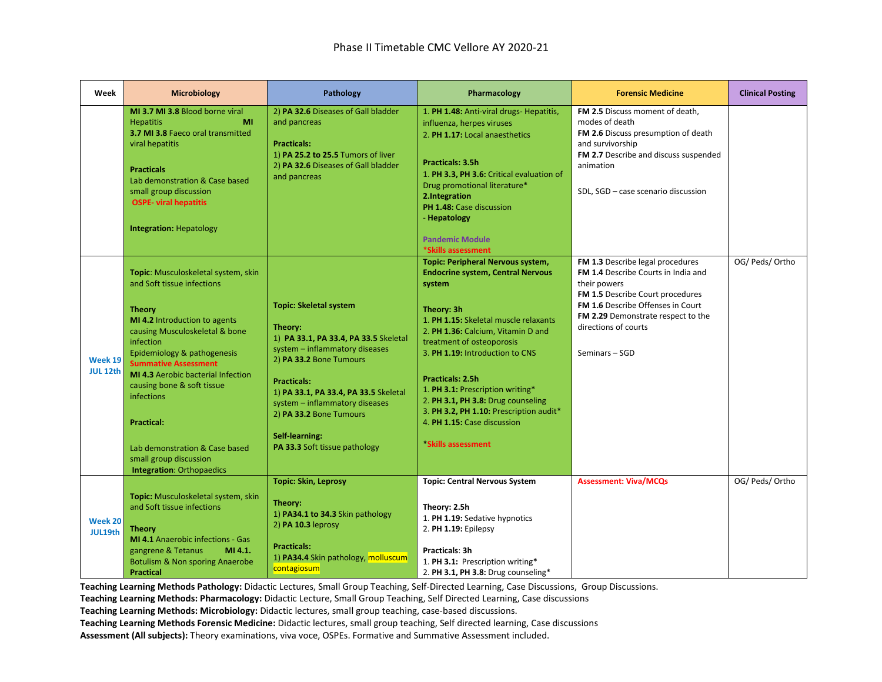| Week                       | Microbiology                                                                                                                                                                                                                                                                                                                                                                                                                                   | Pathology                                                                                                                                                                                                                                                                                                                            | Pharmacology                                                                                                                                                                                                                                                                                                                                                                                                                                                                          | <b>Forensic Medicine</b>                                                                                                                                                                                                                                | <b>Clinical Posting</b> |
|----------------------------|------------------------------------------------------------------------------------------------------------------------------------------------------------------------------------------------------------------------------------------------------------------------------------------------------------------------------------------------------------------------------------------------------------------------------------------------|--------------------------------------------------------------------------------------------------------------------------------------------------------------------------------------------------------------------------------------------------------------------------------------------------------------------------------------|---------------------------------------------------------------------------------------------------------------------------------------------------------------------------------------------------------------------------------------------------------------------------------------------------------------------------------------------------------------------------------------------------------------------------------------------------------------------------------------|---------------------------------------------------------------------------------------------------------------------------------------------------------------------------------------------------------------------------------------------------------|-------------------------|
|                            | MI 3.7 MI 3.8 Blood borne viral<br><b>Hepatitis</b><br>MI<br>3.7 MI 3.8 Faeco oral transmitted<br>viral hepatitis<br><b>Practicals</b><br>Lab demonstration & Case based<br>small group discussion<br><b>OSPE- viral hepatitis</b><br><b>Integration: Hepatology</b>                                                                                                                                                                           | 2) PA 32.6 Diseases of Gall bladder<br>and pancreas<br><b>Practicals:</b><br>1) PA 25.2 to 25.5 Tumors of liver<br>2) PA 32.6 Diseases of Gall bladder<br>and pancreas                                                                                                                                                               | 1. PH 1.48: Anti-viral drugs- Hepatitis,<br>influenza, herpes viruses<br>2. PH 1.17: Local anaesthetics<br>Practicals: 3.5h<br>1. PH 3.3, PH 3.6: Critical evaluation of<br>Drug promotional literature*<br>2.Integration<br>PH 1.48: Case discussion<br>- Hepatology<br><b>Pandemic Module</b>                                                                                                                                                                                       | FM 2.5 Discuss moment of death,<br>modes of death<br>FM 2.6 Discuss presumption of death<br>and survivorship<br>FM 2.7 Describe and discuss suspended<br>animation<br>SDL, SGD - case scenario discussion                                               |                         |
| Week 19<br><b>JUL 12th</b> | Topic: Musculoskeletal system, skin<br>and Soft tissue infections<br><b>Theory</b><br>MI 4.2 Introduction to agents<br>causing Musculoskeletal & bone<br>infection<br>Epidemiology & pathogenesis<br><b>Summative Assessment</b><br><b>MI 4.3</b> Aerobic bacterial Infection<br>causing bone & soft tissue<br>infections<br><b>Practical:</b><br>Lab demonstration & Case based<br>small group discussion<br><b>Integration: Orthopaedics</b> | <b>Topic: Skeletal system</b><br>Theory:<br>1) PA 33.1, PA 33.4, PA 33.5 Skeletal<br>system - inflammatory diseases<br>2) PA 33.2 Bone Tumours<br><b>Practicals:</b><br>1) PA 33.1, PA 33.4, PA 33.5 Skeletal<br>system - inflammatory diseases<br>2) PA 33.2 Bone Tumours<br><b>Self-learning:</b><br>PA 33.3 Soft tissue pathology | *Skills assessment<br><b>Topic: Peripheral Nervous system,</b><br><b>Endocrine system, Central Nervous</b><br>system<br>Theory: 3h<br>1. PH 1.15: Skeletal muscle relaxants<br>2. PH 1.36: Calcium, Vitamin D and<br>treatment of osteoporosis<br>3. PH 1.19: Introduction to CNS<br>Practicals: 2.5h<br>1. PH 3.1: Prescription writing*<br>2. PH 3.1, PH 3.8: Drug counseling<br>3. PH 3.2, PH 1.10: Prescription audit*<br>4. PH 1.15: Case discussion<br><b>Skills assessment</b> | FM 1.3 Describe legal procedures<br>FM 1.4 Describe Courts in India and<br>their powers<br>FM 1.5 Describe Court procedures<br><b>FM 1.6 Describe Offenses in Court</b><br>FM 2.29 Demonstrate respect to the<br>directions of courts<br>Seminars - SGD | OG/ Peds/ Ortho         |
| Week 20<br>JUL19th         | Topic: Musculoskeletal system, skin<br>and Soft tissue infections<br><b>Theory</b><br><b>MI 4.1</b> Anaerobic infections - Gas<br>MI 4.1.<br>gangrene & Tetanus<br><b>Botulism &amp; Non sporing Anaerobe</b><br><b>Practical</b>                                                                                                                                                                                                              | <b>Topic: Skin, Leprosy</b><br>Theory:<br>1) PA34.1 to 34.3 Skin pathology<br>2) PA 10.3 leprosy<br><b>Practicals:</b><br>1) PA34.4 Skin pathology, molluscum<br>contagiosum                                                                                                                                                         | <b>Topic: Central Nervous System</b><br>Theory: 2.5h<br>1. PH 1.19: Sedative hypnotics<br>2. PH 1.19: Epilepsy<br>Practicals: 3h<br>1. PH 3.1: Prescription writing*<br>2. PH 3.1, PH 3.8: Drug counseling*                                                                                                                                                                                                                                                                           | <b>Assessment: Viva/MCQs</b>                                                                                                                                                                                                                            | OG/ Peds/ Ortho         |

**Teaching Learning Methods Pathology:** Didactic Lectures, Small Group Teaching, Self-Directed Learning, Case Discussions, Group Discussions.

**Teaching Learning Methods: Pharmacology:** Didactic Lecture, Small Group Teaching, Self Directed Learning, Case discussions

**Teaching Learning Methods: Microbiology:** Didactic lectures, small group teaching, case-based discussions.

**Teaching Learning Methods Forensic Medicine:** Didactic lectures, small group teaching, Self directed learning, Case discussions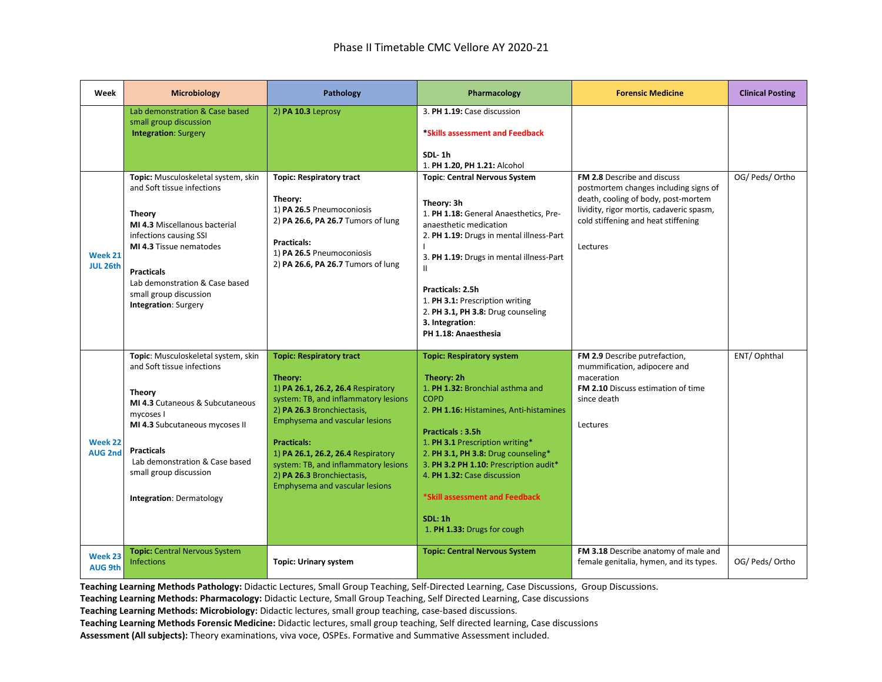| Week                       | <b>Microbiology</b>                                                                                                                                                                                                                                                               | <b>Pathology</b>                                                                                                                                                                                                                                                                                                                                             | Pharmacology                                                                                                                                                                                                                                                                                                                                                                                                  | <b>Forensic Medicine</b>                                                                                                                                                                                   | <b>Clinical Posting</b> |
|----------------------------|-----------------------------------------------------------------------------------------------------------------------------------------------------------------------------------------------------------------------------------------------------------------------------------|--------------------------------------------------------------------------------------------------------------------------------------------------------------------------------------------------------------------------------------------------------------------------------------------------------------------------------------------------------------|---------------------------------------------------------------------------------------------------------------------------------------------------------------------------------------------------------------------------------------------------------------------------------------------------------------------------------------------------------------------------------------------------------------|------------------------------------------------------------------------------------------------------------------------------------------------------------------------------------------------------------|-------------------------|
|                            | Lab demonstration & Case based<br>small group discussion<br><b>Integration: Surgery</b>                                                                                                                                                                                           | 2) PA 10.3 Leprosy                                                                                                                                                                                                                                                                                                                                           | 3. PH 1.19: Case discussion<br>*Skills assessment and Feedback<br>SDL-1h<br>1. PH 1.20. PH 1.21: Alcohol                                                                                                                                                                                                                                                                                                      |                                                                                                                                                                                                            |                         |
| Week 21<br><b>JUL 26th</b> | Topic: Musculoskeletal system, skin<br>and Soft tissue infections<br>Theory<br>MI 4.3 Miscellanous bacterial<br>infections causing SSI<br>MI 4.3 Tissue nematodes<br><b>Practicals</b><br>Lab demonstration & Case based<br>small group discussion<br><b>Integration: Surgery</b> | <b>Topic: Respiratory tract</b><br>Theory:<br>1) PA 26.5 Pneumoconiosis<br>2) PA 26.6, PA 26.7 Tumors of lung<br><b>Practicals:</b><br>1) PA 26.5 Pneumoconiosis<br>2) PA 26.6, PA 26.7 Tumors of lung                                                                                                                                                       | <b>Topic: Central Nervous System</b><br>Theory: 3h<br>1. PH 1.18: General Anaesthetics, Pre-<br>anaesthetic medication<br>2. PH 1.19: Drugs in mental illness-Part<br>3. PH 1.19: Drugs in mental illness-Part<br>$\mathbf{I}$<br>Practicals: 2.5h<br>1. PH 3.1: Prescription writing<br>2. PH 3.1, PH 3.8: Drug counseling<br>3. Integration:<br>PH 1.18: Anaesthesia                                        | FM 2.8 Describe and discuss<br>postmortem changes including signs of<br>death, cooling of body, post-mortem<br>lividity, rigor mortis, cadaveric spasm,<br>cold stiffening and heat stiffening<br>Lectures | OG/ Peds/ Ortho         |
| Week 22<br><b>AUG 2nd</b>  | Topic: Musculoskeletal system, skin<br>and Soft tissue infections<br>Theory<br>MI 4.3 Cutaneous & Subcutaneous<br>mycoses I<br>MI 4.3 Subcutaneous mycoses II<br><b>Practicals</b><br>Lab demonstration & Case based<br>small group discussion<br><b>Integration: Dermatology</b> | <b>Topic: Respiratory tract</b><br>Theory:<br>1) PA 26.1, 26.2, 26.4 Respiratory<br>system: TB, and inflammatory lesions<br>2) PA 26.3 Bronchiectasis,<br>Emphysema and vascular lesions<br><b>Practicals:</b><br>1) PA 26.1, 26.2, 26.4 Respiratory<br>system: TB, and inflammatory lesions<br>2) PA 26.3 Bronchiectasis,<br>Emphysema and vascular lesions | <b>Topic: Respiratory system</b><br>Theory: 2h<br>1. PH 1.32: Bronchial asthma and<br><b>COPD</b><br>2. PH 1.16: Histamines, Anti-histamines<br><b>Practicals: 3.5h</b><br>1. PH 3.1 Prescription writing*<br>2. PH 3.1, PH 3.8: Drug counseling*<br>3. PH 3.2 PH 1.10: Prescription audit*<br>4. PH 1.32: Case discussion<br>*Skill assessment and Feedback<br><b>SDL: 1h</b><br>1. PH 1.33: Drugs for cough | FM 2.9 Describe putrefaction,<br>mummification, adipocere and<br>maceration<br>FM 2.10 Discuss estimation of time<br>since death<br>Lectures                                                               | ENT/Ophthal             |
| Week 23<br><b>AUG 9th</b>  | <b>Topic: Central Nervous System</b><br><b>Infections</b>                                                                                                                                                                                                                         | <b>Topic: Urinary system</b>                                                                                                                                                                                                                                                                                                                                 | <b>Topic: Central Nervous System</b>                                                                                                                                                                                                                                                                                                                                                                          | FM 3.18 Describe anatomy of male and<br>female genitalia, hymen, and its types.                                                                                                                            | OG/ Peds/ Ortho         |

**Teaching Learning Methods: Pharmacology:** Didactic Lecture, Small Group Teaching, Self Directed Learning, Case discussions

**Teaching Learning Methods: Microbiology:** Didactic lectures, small group teaching, case-based discussions.

**Teaching Learning Methods Forensic Medicine:** Didactic lectures, small group teaching, Self directed learning, Case discussions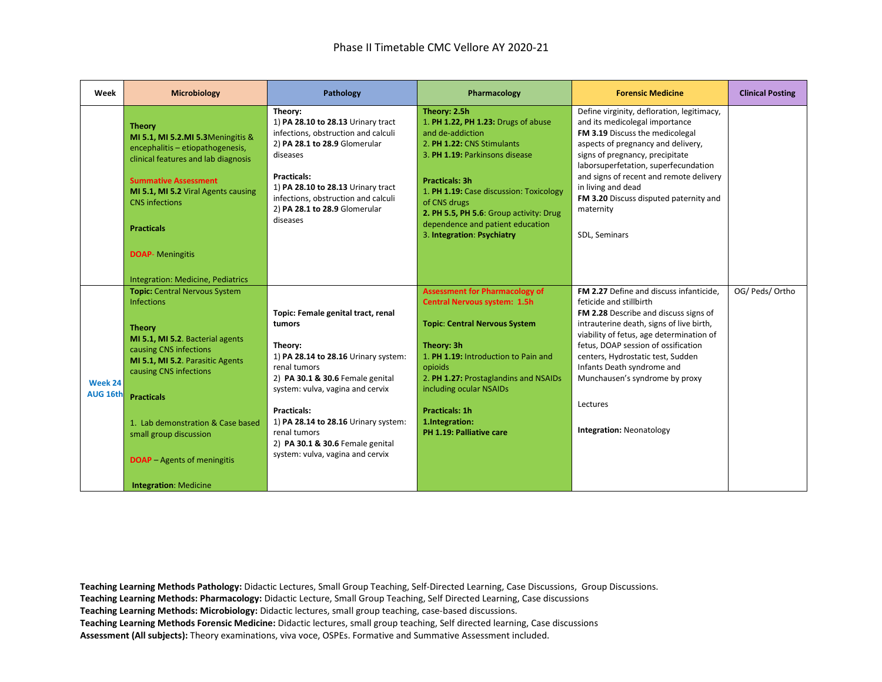| Week                | <b>Microbiology</b>                                                                                                                                                                                                                                                                                                                                       | Pathology                                                                                                                                                                                                                                                                                                                                     | Pharmacology                                                                                                                                                                                                                                                                                                                             | <b>Forensic Medicine</b>                                                                                                                                                                                                                                                                                                                                                                       | <b>Clinical Posting</b> |
|---------------------|-----------------------------------------------------------------------------------------------------------------------------------------------------------------------------------------------------------------------------------------------------------------------------------------------------------------------------------------------------------|-----------------------------------------------------------------------------------------------------------------------------------------------------------------------------------------------------------------------------------------------------------------------------------------------------------------------------------------------|------------------------------------------------------------------------------------------------------------------------------------------------------------------------------------------------------------------------------------------------------------------------------------------------------------------------------------------|------------------------------------------------------------------------------------------------------------------------------------------------------------------------------------------------------------------------------------------------------------------------------------------------------------------------------------------------------------------------------------------------|-------------------------|
|                     | <b>Theory</b><br>MI 5.1, MI 5.2.MI 5.3Meningitis &<br>encephalitis - etiopathogenesis,<br>clinical features and lab diagnosis<br><b>Summative Assessment</b><br>MI 5.1, MI 5.2 Viral Agents causing<br><b>CNS</b> infections<br><b>Practicals</b>                                                                                                         | Theory:<br>1) PA 28.10 to 28.13 Urinary tract<br>infections, obstruction and calculi<br>2) PA 28.1 to 28.9 Glomerular<br>diseases<br><b>Practicals:</b><br>1) PA 28.10 to 28.13 Urinary tract<br>infections, obstruction and calculi<br>2) PA 28.1 to 28.9 Glomerular<br>diseases                                                             | Theory: 2.5h<br>1. PH 1.22, PH 1.23: Drugs of abuse<br>and de-addiction<br>2. PH 1.22: CNS Stimulants<br>3. PH 1.19: Parkinsons disease<br><b>Practicals: 3h</b><br>1. PH 1.19: Case discussion: Toxicology<br>of CNS drugs<br>2. PH 5.5, PH 5.6: Group activity: Drug<br>dependence and patient education<br>3. Integration: Psychiatry | Define virginity, defloration, legitimacy,<br>and its medicolegal importance<br>FM 3.19 Discuss the medicolegal<br>aspects of pregnancy and delivery,<br>signs of pregnancy, precipitate<br>laborsuperfetation, superfecundation<br>and signs of recent and remote delivery<br>in living and dead<br>FM 3.20 Discuss disputed paternity and<br>maternity<br>SDL, Seminars                      |                         |
|                     | <b>DOAP-</b> Meningitis<br>Integration: Medicine, Pediatrics                                                                                                                                                                                                                                                                                              |                                                                                                                                                                                                                                                                                                                                               |                                                                                                                                                                                                                                                                                                                                          |                                                                                                                                                                                                                                                                                                                                                                                                |                         |
| Week 24<br>AUG 16th | <b>Topic: Central Nervous System</b><br>Infections<br><b>Theory</b><br>MI 5.1, MI 5.2. Bacterial agents<br>causing CNS infections<br>MI 5.1, MI 5.2. Parasitic Agents<br>causing CNS infections<br><b>Practicals</b><br>1. Lab demonstration & Case based<br>small group discussion<br><b>DOAP</b> – Agents of meningitis<br><b>Integration: Medicine</b> | Topic: Female genital tract, renal<br>tumors<br>Theory:<br>1) PA 28.14 to 28.16 Urinary system:<br>renal tumors<br>2) PA 30.1 & 30.6 Female genital<br>system: vulva, vagina and cervix<br><b>Practicals:</b><br>1) PA 28.14 to 28.16 Urinary system:<br>renal tumors<br>2) PA 30.1 & 30.6 Female genital<br>system: vulva, vagina and cervix | <b>Assessment for Pharmacology of</b><br><b>Central Nervous system: 1.5h</b><br><b>Topic: Central Nervous System</b><br>Theory: 3h<br>1. PH 1.19: Introduction to Pain and<br>opioids<br>2. PH 1.27: Prostaglandins and NSAIDs<br>including ocular NSAIDs<br>Practicals: 1h<br>1.Integration:<br>PH 1.19: Palliative care                | FM 2.27 Define and discuss infanticide,<br>feticide and stillbirth<br>FM 2.28 Describe and discuss signs of<br>intrauterine death, signs of live birth,<br>viability of fetus, age determination of<br>fetus, DOAP session of ossification<br>centers, Hydrostatic test, Sudden<br>Infants Death syndrome and<br>Munchausen's syndrome by proxy<br>Lectures<br><b>Integration: Neonatology</b> | OG/ Peds/ Ortho         |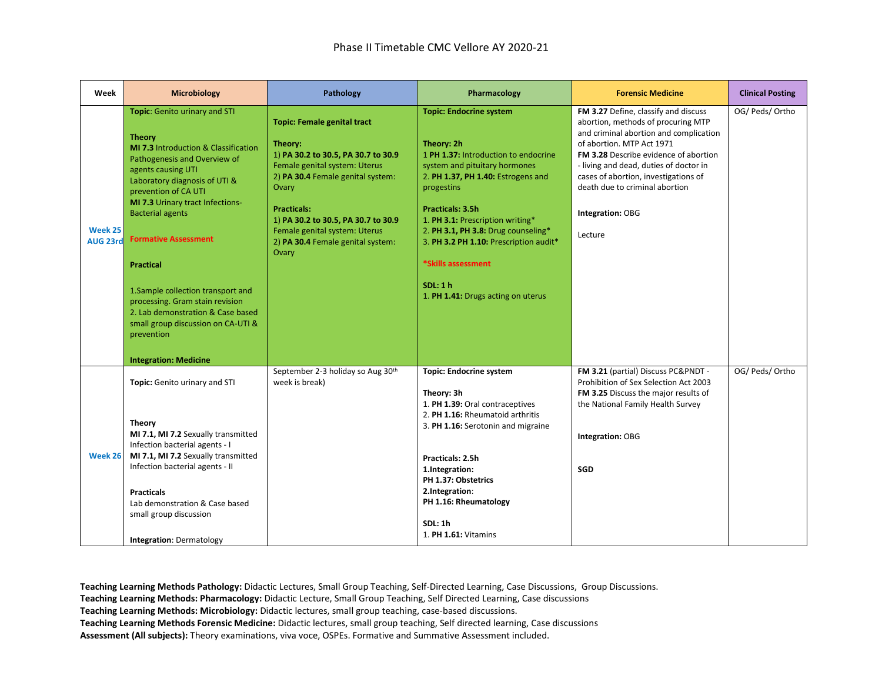| Week                       | <b>Microbiology</b>                                                                                                                                                                                                                                                                                                                                                                                                                                                                                  | Pathology                                                                                                                                                                                                                                                                                                       | Pharmacology                                                                                                                                                                                                                                                                                                                                                                              | <b>Forensic Medicine</b>                                                                                                                                                                                                                                                                                                                      | <b>Clinical Posting</b> |
|----------------------------|------------------------------------------------------------------------------------------------------------------------------------------------------------------------------------------------------------------------------------------------------------------------------------------------------------------------------------------------------------------------------------------------------------------------------------------------------------------------------------------------------|-----------------------------------------------------------------------------------------------------------------------------------------------------------------------------------------------------------------------------------------------------------------------------------------------------------------|-------------------------------------------------------------------------------------------------------------------------------------------------------------------------------------------------------------------------------------------------------------------------------------------------------------------------------------------------------------------------------------------|-----------------------------------------------------------------------------------------------------------------------------------------------------------------------------------------------------------------------------------------------------------------------------------------------------------------------------------------------|-------------------------|
| Week 25<br><b>AUG 23rd</b> | Topic: Genito urinary and STI<br><b>Theory</b><br><b>MI 7.3 Introduction &amp; Classification</b><br>Pathogenesis and Overview of<br>agents causing UTI<br>Laboratory diagnosis of UTI &<br>prevention of CA UTI<br>MI 7.3 Urinary tract Infections-<br><b>Bacterial agents</b><br><b>Formative Assessment</b><br><b>Practical</b><br>1. Sample collection transport and<br>processing. Gram stain revision<br>2. Lab demonstration & Case based<br>small group discussion on CA-UTI &<br>prevention | <b>Topic: Female genital tract</b><br>Theory:<br>1) PA 30.2 to 30.5, PA 30.7 to 30.9<br>Female genital system: Uterus<br>2) PA 30.4 Female genital system:<br>Ovary<br><b>Practicals:</b><br>1) PA 30.2 to 30.5, PA 30.7 to 30.9<br>Female genital system: Uterus<br>2) PA 30.4 Female genital system:<br>Ovary | <b>Topic: Endocrine system</b><br>Theory: 2h<br>1 PH 1.37: Introduction to endocrine<br>system and pituitary hormones<br>2. PH 1.37, PH 1.40: Estrogens and<br>progestins<br>Practicals: 3.5h<br>1. PH 3.1: Prescription writing*<br>2. PH 3.1, PH 3.8: Drug counseling*<br>3. PH 3.2 PH 1.10: Prescription audit*<br>*Skills assessment<br>SDL:1 h<br>1. PH 1.41: Drugs acting on uterus | FM 3.27 Define, classify and discuss<br>abortion, methods of procuring MTP<br>and criminal abortion and complication<br>of abortion. MTP Act 1971<br>FM 3.28 Describe evidence of abortion<br>- living and dead, duties of doctor in<br>cases of abortion, investigations of<br>death due to criminal abortion<br>Integration: OBG<br>Lecture | OG/ Peds/ Ortho         |
| Week 26                    | <b>Integration: Medicine</b><br>Topic: Genito urinary and STI<br><b>Theory</b><br>MI 7.1, MI 7.2 Sexually transmitted<br>Infection bacterial agents - I<br>MI 7.1, MI 7.2 Sexually transmitted<br>Infection bacterial agents - II<br><b>Practicals</b><br>Lab demonstration & Case based<br>small group discussion<br><b>Integration: Dermatology</b>                                                                                                                                                | September 2-3 holiday so Aug 30th<br>week is break)                                                                                                                                                                                                                                                             | <b>Topic: Endocrine system</b><br>Theory: 3h<br>1. PH 1.39: Oral contraceptives<br>2. PH 1.16: Rheumatoid arthritis<br>3. PH 1.16: Serotonin and migraine<br>Practicals: 2.5h<br>1.Integration:<br>PH 1.37: Obstetrics<br>2.Integration:<br>PH 1.16: Rheumatology<br><b>SDL: 1h</b><br>1. PH 1.61: Vitamins                                                                               | FM 3.21 (partial) Discuss PC&PNDT -<br>Prohibition of Sex Selection Act 2003<br>FM 3.25 Discuss the major results of<br>the National Family Health Survey<br>Integration: OBG<br>SGD                                                                                                                                                          | OG/ Peds/ Ortho         |

**Teaching Learning Methods: Pharmacology:** Didactic Lecture, Small Group Teaching, Self Directed Learning, Case discussions

**Teaching Learning Methods: Microbiology:** Didactic lectures, small group teaching, case-based discussions.

**Teaching Learning Methods Forensic Medicine:** Didactic lectures, small group teaching, Self directed learning, Case discussions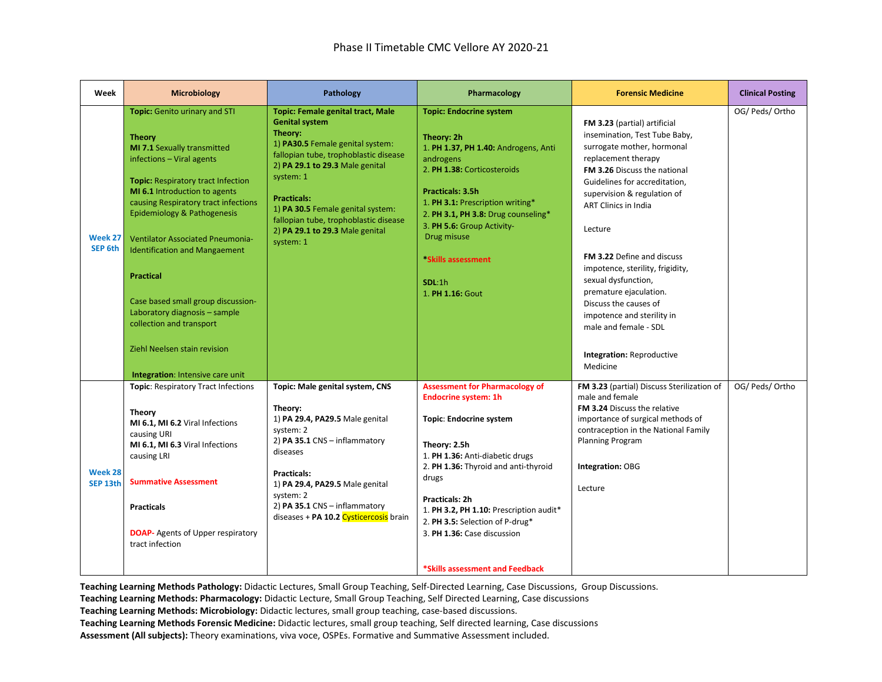| Week                | <b>Microbiology</b>                                                                                                                                                                                                                                                                                                                                                                                                                                                                                                                           | Pathology                                                                                                                                                                                                                                                                                                                                                     | Pharmacology                                                                                                                                                                                                                                                                                                                                                                 | <b>Forensic Medicine</b>                                                                                                                                                                                                                                                                                                                                                                                                                                                                                        | <b>Clinical Posting</b> |
|---------------------|-----------------------------------------------------------------------------------------------------------------------------------------------------------------------------------------------------------------------------------------------------------------------------------------------------------------------------------------------------------------------------------------------------------------------------------------------------------------------------------------------------------------------------------------------|---------------------------------------------------------------------------------------------------------------------------------------------------------------------------------------------------------------------------------------------------------------------------------------------------------------------------------------------------------------|------------------------------------------------------------------------------------------------------------------------------------------------------------------------------------------------------------------------------------------------------------------------------------------------------------------------------------------------------------------------------|-----------------------------------------------------------------------------------------------------------------------------------------------------------------------------------------------------------------------------------------------------------------------------------------------------------------------------------------------------------------------------------------------------------------------------------------------------------------------------------------------------------------|-------------------------|
| Week 27<br>SEP 6th  | Topic: Genito urinary and STI<br><b>Theory</b><br>MI 7.1 Sexually transmitted<br>infections - Viral agents<br><b>Topic: Respiratory tract Infection</b><br>MI 6.1 Introduction to agents<br>causing Respiratory tract infections<br>Epidemiology & Pathogenesis<br><b>Ventilator Associated Pneumonia-</b><br><b>Identification and Mangaement</b><br><b>Practical</b><br>Case based small group discussion-<br>Laboratory diagnosis - sample<br>collection and transport<br>Ziehl Neelsen stain revision<br>Integration: Intensive care unit | <b>Topic: Female genital tract, Male</b><br><b>Genital system</b><br>Theory:<br>1) PA30.5 Female genital system:<br>fallopian tube, trophoblastic disease<br>2) PA 29.1 to 29.3 Male genital<br>system: 1<br><b>Practicals:</b><br>1) PA 30.5 Female genital system:<br>fallopian tube, trophoblastic disease<br>2) PA 29.1 to 29.3 Male genital<br>system: 1 | <b>Topic: Endocrine system</b><br>Theory: 2h<br>1. PH 1.37, PH 1.40: Androgens, Anti<br>androgens<br>2. PH 1.38: Corticosteroids<br>Practicals: 3.5h<br>1. PH 3.1: Prescription writing*<br>2. PH 3.1, PH 3.8: Drug counseling*<br>3. PH 5.6: Group Activity-<br>Drug misuse<br>*Skills assessment<br>SDL:1h<br>1. PH 1.16: Gout                                             | FM 3.23 (partial) artificial<br>insemination, Test Tube Baby,<br>surrogate mother, hormonal<br>replacement therapy<br>FM 3.26 Discuss the national<br>Guidelines for accreditation,<br>supervision & regulation of<br><b>ART Clinics in India</b><br>Lecture<br>FM 3.22 Define and discuss<br>impotence, sterility, frigidity,<br>sexual dysfunction,<br>premature ejaculation.<br>Discuss the causes of<br>impotence and sterility in<br>male and female - SDL<br><b>Integration: Reproductive</b><br>Medicine | OG/ Peds/ Ortho         |
| Week 28<br>SEP 13th | <b>Topic: Respiratory Tract Infections</b><br><b>Theory</b><br>MI 6.1, MI 6.2 Viral Infections<br>causing URI<br>MI 6.1, MI 6.3 Viral Infections<br>causing LRI<br><b>Summative Assessment</b><br><b>Practicals</b><br><b>DOAP-</b> Agents of Upper respiratory<br>tract infection                                                                                                                                                                                                                                                            | Topic: Male genital system, CNS<br>Theory:<br>1) PA 29.4, PA29.5 Male genital<br>system: 2<br>2) PA 35.1 CNS - inflammatory<br>diseases<br><b>Practicals:</b><br>1) PA 29.4, PA29.5 Male genital<br>system: 2<br>2) PA 35.1 CNS - inflammatory<br>diseases + PA 10.2 Cysticercosis brain                                                                      | <b>Assessment for Pharmacology of</b><br><b>Endocrine system: 1h</b><br><b>Topic: Endocrine system</b><br>Theory: 2.5h<br>1. PH 1.36: Anti-diabetic drugs<br>2. PH 1.36: Thyroid and anti-thyroid<br>drugs<br>Practicals: 2h<br>1. PH 3.2, PH 1.10: Prescription audit*<br>2. PH 3.5: Selection of P-drug*<br>3. PH 1.36: Case discussion<br>*Skills assessment and Feedback | FM 3.23 (partial) Discuss Sterilization of<br>male and female<br>FM 3.24 Discuss the relative<br>importance of surgical methods of<br>contraception in the National Family<br>Planning Program<br>Integration: OBG<br>Lecture                                                                                                                                                                                                                                                                                   | OG/ Peds/ Ortho         |

**Teaching Learning Methods: Pharmacology:** Didactic Lecture, Small Group Teaching, Self Directed Learning, Case discussions

**Teaching Learning Methods: Microbiology:** Didactic lectures, small group teaching, case-based discussions.

**Teaching Learning Methods Forensic Medicine:** Didactic lectures, small group teaching, Self directed learning, Case discussions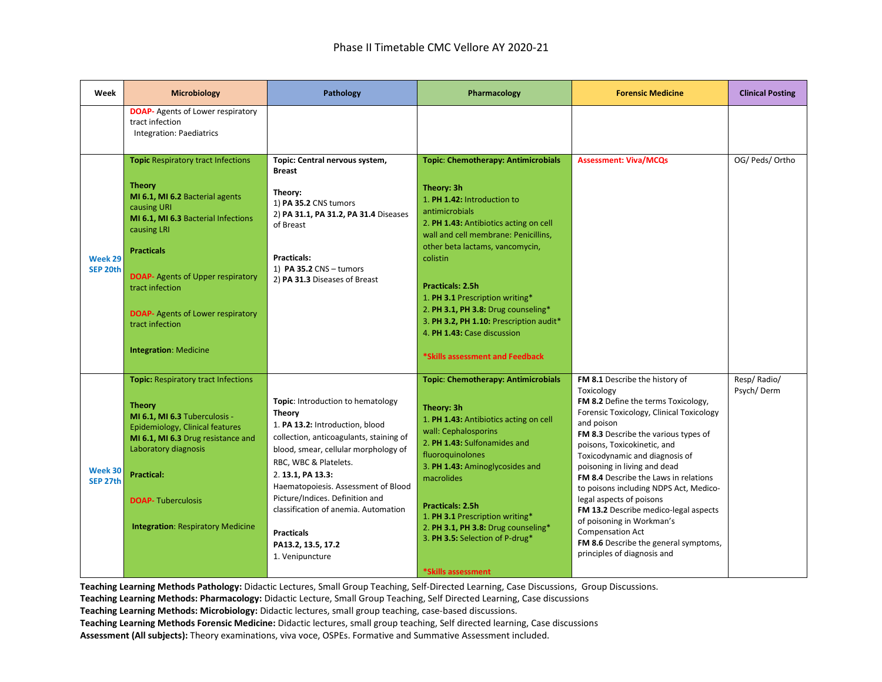| Week                | <b>Microbiology</b>                                                                                                                                                                                                                                                                                                                                   | Pathology                                                                                                                                                                                                                                                                                                                                                                                              | Pharmacology                                                                                                                                                                                                                                                                                                                                                                                                                                                 | <b>Forensic Medicine</b>                                                                                                                                                                                                                                                                                                                                                                                                                                                                                                                                                              | <b>Clinical Posting</b>   |
|---------------------|-------------------------------------------------------------------------------------------------------------------------------------------------------------------------------------------------------------------------------------------------------------------------------------------------------------------------------------------------------|--------------------------------------------------------------------------------------------------------------------------------------------------------------------------------------------------------------------------------------------------------------------------------------------------------------------------------------------------------------------------------------------------------|--------------------------------------------------------------------------------------------------------------------------------------------------------------------------------------------------------------------------------------------------------------------------------------------------------------------------------------------------------------------------------------------------------------------------------------------------------------|---------------------------------------------------------------------------------------------------------------------------------------------------------------------------------------------------------------------------------------------------------------------------------------------------------------------------------------------------------------------------------------------------------------------------------------------------------------------------------------------------------------------------------------------------------------------------------------|---------------------------|
|                     | <b>DOAP-</b> Agents of Lower respiratory<br>tract infection<br>Integration: Paediatrics                                                                                                                                                                                                                                                               |                                                                                                                                                                                                                                                                                                                                                                                                        |                                                                                                                                                                                                                                                                                                                                                                                                                                                              |                                                                                                                                                                                                                                                                                                                                                                                                                                                                                                                                                                                       |                           |
| Week 29<br>SEP 20th | <b>Topic Respiratory tract Infections</b><br><b>Theory</b><br>MI 6.1, MI 6.2 Bacterial agents<br>causing URI<br>MI 6.1, MI 6.3 Bacterial Infections<br>causing LRI<br><b>Practicals</b><br><b>DOAP-</b> Agents of Upper respiratory<br>tract infection<br><b>DOAP-</b> Agents of Lower respiratory<br>tract infection<br><b>Integration: Medicine</b> | Topic: Central nervous system,<br><b>Breast</b><br>Theory:<br>1) PA 35.2 CNS tumors<br>2) PA 31.1, PA 31.2, PA 31.4 Diseases<br>of Breast<br>Practicals:<br>1) PA 35.2 CNS - tumors<br>2) PA 31.3 Diseases of Breast                                                                                                                                                                                   | <b>Topic: Chemotherapy: Antimicrobials</b><br>Theory: 3h<br>1. PH 1.42: Introduction to<br>antimicrobials<br>2. PH 1.43: Antibiotics acting on cell<br>wall and cell membrane: Penicillins,<br>other beta lactams, vancomycin,<br>colistin<br><b>Practicals: 2.5h</b><br>1. PH 3.1 Prescription writing*<br>2. PH 3.1, PH 3.8: Drug counseling*<br>3. PH 3.2, PH 1.10: Prescription audit*<br>4. PH 1.43: Case discussion<br>*Skills assessment and Feedback | <b>Assessment: Viva/MCQs</b>                                                                                                                                                                                                                                                                                                                                                                                                                                                                                                                                                          | OG/ Peds/ Ortho           |
| Week 30<br>SEP 27th | <b>Topic: Respiratory tract Infections</b><br><b>Theory</b><br>MI 6.1, MI 6.3 Tuberculosis -<br>Epidemiology, Clinical features<br>MI 6.1, MI 6.3 Drug resistance and<br>Laboratory diagnosis<br><b>Practical:</b><br><b>DOAP-Tuberculosis</b><br><b>Integration: Respiratory Medicine</b>                                                            | Topic: Introduction to hematology<br><b>Theory</b><br>1. PA 13.2: Introduction, blood<br>collection, anticoagulants, staining of<br>blood, smear, cellular morphology of<br>RBC, WBC & Platelets.<br>2. 13.1, PA 13.3:<br>Haematopoiesis. Assessment of Blood<br>Picture/Indices. Definition and<br>classification of anemia. Automation<br><b>Practicals</b><br>PA13.2, 13.5, 17.2<br>1. Venipuncture | Topic: Chemotherapy: Antimicrobials<br>Theory: 3h<br>1. PH 1.43: Antibiotics acting on cell<br>wall: Cephalosporins<br>2. PH 1.43: Sulfonamides and<br>fluoroquinolones<br>3. PH 1.43: Aminoglycosides and<br>macrolides<br>Practicals: 2.5h<br>1. PH 3.1 Prescription writing*<br>2. PH 3.1, PH 3.8: Drug counseling*<br>3. PH 3.5: Selection of P-drug*<br>*Skills assessment                                                                              | FM 8.1 Describe the history of<br>Toxicology<br>FM 8.2 Define the terms Toxicology,<br>Forensic Toxicology, Clinical Toxicology<br>and poison<br>FM 8.3 Describe the various types of<br>poisons, Toxicokinetic, and<br>Toxicodynamic and diagnosis of<br>poisoning in living and dead<br><b>FM 8.4</b> Describe the Laws in relations<br>to poisons including NDPS Act, Medico-<br>legal aspects of poisons<br>FM 13.2 Describe medico-legal aspects<br>of poisoning in Workman's<br><b>Compensation Act</b><br>FM 8.6 Describe the general symptoms,<br>principles of diagnosis and | Resp/Radio/<br>Psych/Derm |

**Teaching Learning Methods: Pharmacology:** Didactic Lecture, Small Group Teaching, Self Directed Learning, Case discussions

**Teaching Learning Methods: Microbiology:** Didactic lectures, small group teaching, case-based discussions.

**Teaching Learning Methods Forensic Medicine:** Didactic lectures, small group teaching, Self directed learning, Case discussions **Assessment (All subjects):** Theory examinations, viva voce, OSPEs. Formative and Summative Assessment included.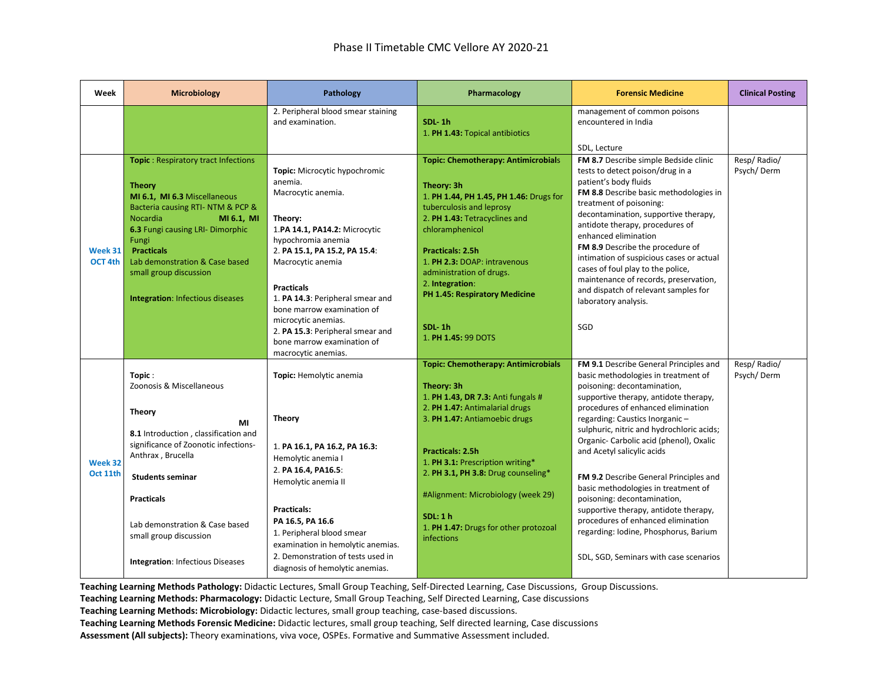| Week                | <b>Microbiology</b>                                                                                                                                                                                                                                                                                                          | Pathology                                                                                                                                                                                                                                                                                                                                                                                     | Pharmacology                                                                                                                                                                                                                                                                                                                                                                    | <b>Forensic Medicine</b>                                                                                                                                                                                                                                                                                                                                                                                                                                                                                                                                                                                                               | <b>Clinical Posting</b>   |
|---------------------|------------------------------------------------------------------------------------------------------------------------------------------------------------------------------------------------------------------------------------------------------------------------------------------------------------------------------|-----------------------------------------------------------------------------------------------------------------------------------------------------------------------------------------------------------------------------------------------------------------------------------------------------------------------------------------------------------------------------------------------|---------------------------------------------------------------------------------------------------------------------------------------------------------------------------------------------------------------------------------------------------------------------------------------------------------------------------------------------------------------------------------|----------------------------------------------------------------------------------------------------------------------------------------------------------------------------------------------------------------------------------------------------------------------------------------------------------------------------------------------------------------------------------------------------------------------------------------------------------------------------------------------------------------------------------------------------------------------------------------------------------------------------------------|---------------------------|
|                     |                                                                                                                                                                                                                                                                                                                              | 2. Peripheral blood smear staining<br>and examination.                                                                                                                                                                                                                                                                                                                                        | SDL-1h<br>1. PH 1.43: Topical antibiotics                                                                                                                                                                                                                                                                                                                                       | management of common poisons<br>encountered in India<br>SDL, Lecture                                                                                                                                                                                                                                                                                                                                                                                                                                                                                                                                                                   |                           |
| Week 31<br>OCT 4th  | Topic: Respiratory tract Infections<br><b>Theory</b><br>MI 6.1, MI 6.3 Miscellaneous<br>Bacteria causing RTI- NTM & PCP &<br><b>Nocardia</b><br>MI 6.1, MI<br>6.3 Fungi causing LRI- Dimorphic<br>Fungi<br><b>Practicals</b><br>Lab demonstration & Case based<br>small group discussion<br>Integration: Infectious diseases | Topic: Microcytic hypochromic<br>anemia.<br>Macrocytic anemia.<br>Theory:<br>1.PA 14.1, PA14.2: Microcytic<br>hypochromia anemia<br>2. PA 15.1, PA 15.2, PA 15.4:<br>Macrocytic anemia<br><b>Practicals</b><br>1. PA 14.3: Peripheral smear and<br>bone marrow examination of<br>microcytic anemias.<br>2. PA 15.3: Peripheral smear and<br>bone marrow examination of<br>macrocytic anemias. | <b>Topic: Chemotherapy: Antimicrobials</b><br>Theory: 3h<br>1. PH 1.44, PH 1.45, PH 1.46: Drugs for<br>tuberculosis and leprosy<br>2. PH 1.43: Tetracyclines and<br>chloramphenicol<br><b>Practicals: 2.5h</b><br>1. PH 2.3: DOAP: intravenous<br>administration of drugs.<br>2. Integration:<br>PH 1.45: Respiratory Medicine<br>SDL 1h<br>1. PH 1.45: 99 DOTS                 | FM 8.7 Describe simple Bedside clinic<br>tests to detect poison/drug in a<br>patient's body fluids<br>FM 8.8 Describe basic methodologies in<br>treatment of poisoning:<br>decontamination, supportive therapy,<br>antidote therapy, procedures of<br>enhanced elimination<br>FM 8.9 Describe the procedure of<br>intimation of suspicious cases or actual<br>cases of foul play to the police,<br>maintenance of records, preservation,<br>and dispatch of relevant samples for<br>laboratory analysis.<br>SGD                                                                                                                        | Resp/Radio/<br>Psych/Derm |
| Week 32<br>Oct 11th | Topic:<br>Zoonosis & Miscellaneous<br><b>Theory</b><br>MI<br>8.1 Introduction, classification and<br>significance of Zoonotic infections-<br>Anthrax, Brucella<br><b>Students seminar</b><br><b>Practicals</b><br>Lab demonstration & Case based<br>small group discussion<br><b>Integration: Infectious Diseases</b>        | Topic: Hemolytic anemia<br><b>Theory</b><br>1. PA 16.1, PA 16.2, PA 16.3:<br>Hemolytic anemia I<br>2. PA 16.4, PA16.5:<br>Hemolytic anemia II<br>Practicals:<br>PA 16.5, PA 16.6<br>1. Peripheral blood smear<br>examination in hemolytic anemias.<br>2. Demonstration of tests used in<br>diagnosis of hemolytic anemias.                                                                    | <b>Topic: Chemotherapy: Antimicrobials</b><br>Theory: 3h<br>1. PH 1.43, DR 7.3: Anti fungals #<br>2. PH 1.47: Antimalarial drugs<br>3. PH 1.47: Antiamoebic drugs<br><b>Practicals: 2.5h</b><br>1. PH 3.1: Prescription writing*<br>2. PH 3.1, PH 3.8: Drug counseling*<br>#Alignment: Microbiology (week 29)<br>SDL:1 h<br>1. PH 1.47: Drugs for other protozoal<br>infections | FM 9.1 Describe General Principles and<br>basic methodologies in treatment of<br>poisoning: decontamination,<br>supportive therapy, antidote therapy,<br>procedures of enhanced elimination<br>regarding: Caustics Inorganic -<br>sulphuric, nitric and hydrochloric acids;<br>Organic- Carbolic acid (phenol), Oxalic<br>and Acetyl salicylic acids<br>FM 9.2 Describe General Principles and<br>basic methodologies in treatment of<br>poisoning: decontamination,<br>supportive therapy, antidote therapy,<br>procedures of enhanced elimination<br>regarding: Iodine, Phosphorus, Barium<br>SDL, SGD, Seminars with case scenarios | Resp/Radio/<br>Psych/Derm |

**Teaching Learning Methods Pathology:** Didactic Lectures, Small Group Teaching, Self-Directed Learning, Case Discussions, Group Discussions.

**Teaching Learning Methods: Pharmacology:** Didactic Lecture, Small Group Teaching, Self Directed Learning, Case discussions

**Teaching Learning Methods: Microbiology:** Didactic lectures, small group teaching, case-based discussions.

**Teaching Learning Methods Forensic Medicine:** Didactic lectures, small group teaching, Self directed learning, Case discussions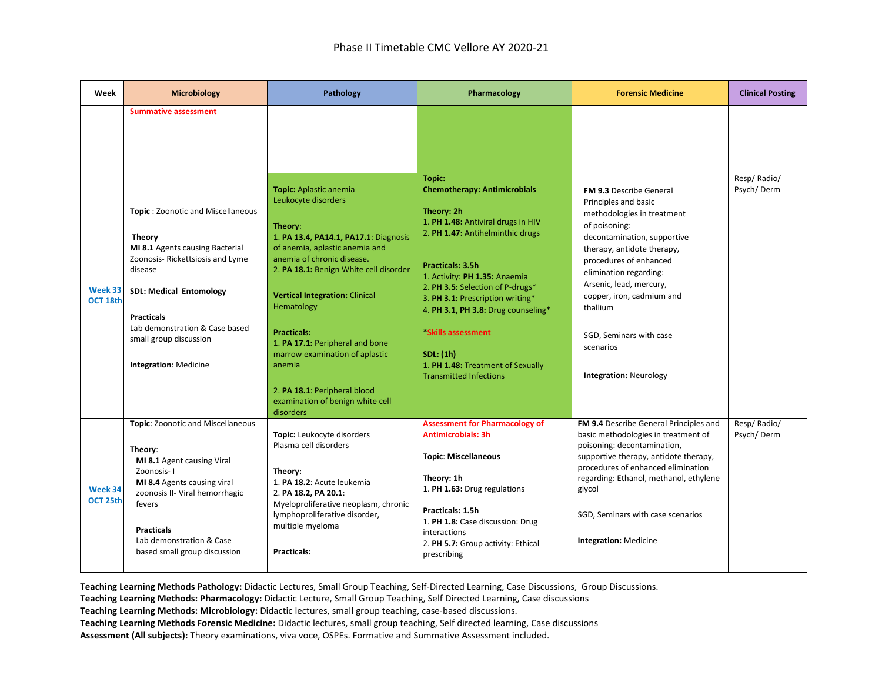| Week                | <b>Microbiology</b>                                                                                                                                                                                                                                                                     | Pathology                                                                                                                                                                                                                                                                                                                                                                                                                                                | Pharmacology                                                                                                                                                                                                                                                                                                                                                                                                                            | <b>Forensic Medicine</b>                                                                                                                                                                                                                                                                                                                                            | <b>Clinical Posting</b>   |
|---------------------|-----------------------------------------------------------------------------------------------------------------------------------------------------------------------------------------------------------------------------------------------------------------------------------------|----------------------------------------------------------------------------------------------------------------------------------------------------------------------------------------------------------------------------------------------------------------------------------------------------------------------------------------------------------------------------------------------------------------------------------------------------------|-----------------------------------------------------------------------------------------------------------------------------------------------------------------------------------------------------------------------------------------------------------------------------------------------------------------------------------------------------------------------------------------------------------------------------------------|---------------------------------------------------------------------------------------------------------------------------------------------------------------------------------------------------------------------------------------------------------------------------------------------------------------------------------------------------------------------|---------------------------|
|                     | <b>Summative assessment</b>                                                                                                                                                                                                                                                             |                                                                                                                                                                                                                                                                                                                                                                                                                                                          |                                                                                                                                                                                                                                                                                                                                                                                                                                         |                                                                                                                                                                                                                                                                                                                                                                     |                           |
| Week 33<br>OCT 18th | Topic: Zoonotic and Miscellaneous<br><b>Theory</b><br>MI 8.1 Agents causing Bacterial<br>Zoonosis- Rickettsiosis and Lyme<br>disease<br><b>SDL: Medical Entomology</b><br><b>Practicals</b><br>Lab demonstration & Case based<br>small group discussion<br><b>Integration: Medicine</b> | Topic: Aplastic anemia<br>Leukocyte disorders<br>Theory:<br>1. PA 13.4, PA14.1, PA17.1: Diagnosis<br>of anemia, aplastic anemia and<br>anemia of chronic disease.<br>2. PA 18.1: Benign White cell disorder<br><b>Vertical Integration: Clinical</b><br>Hematology<br><b>Practicals:</b><br>1. PA 17.1: Peripheral and bone<br>marrow examination of aplastic<br>anemia<br>2. PA 18.1: Peripheral blood<br>examination of benign white cell<br>disorders | <b>Topic:</b><br><b>Chemotherapy: Antimicrobials</b><br>Theory: 2h<br>1. PH 1.48: Antiviral drugs in HIV<br>2. PH 1.47: Antihelminthic drugs<br><b>Practicals: 3.5h</b><br>1. Activity: PH 1.35: Anaemia<br>2. PH 3.5: Selection of P-drugs*<br>3. PH 3.1: Prescription writing*<br>4. PH 3.1, PH 3.8: Drug counseling*<br>*Skills assessment<br><b>SDL:</b> (1h)<br>1. PH 1.48: Treatment of Sexually<br><b>Transmitted Infections</b> | <b>FM 9.3 Describe General</b><br>Principles and basic<br>methodologies in treatment<br>of poisoning:<br>decontamination, supportive<br>therapy, antidote therapy,<br>procedures of enhanced<br>elimination regarding:<br>Arsenic, lead, mercury,<br>copper, iron, cadmium and<br>thallium<br>SGD, Seminars with case<br>scenarios<br><b>Integration: Neurology</b> | Resp/Radio/<br>Psych/Derm |
| Week 34<br>OCT 25th | Topic: Zoonotic and Miscellaneous<br>Theory:<br>MI 8.1 Agent causing Viral<br>Zoonosis-1<br>MI 8.4 Agents causing viral<br>zoonosis II- Viral hemorrhagic<br>fevers<br><b>Practicals</b><br>Lab demonstration & Case<br>based small group discussion                                    | Topic: Leukocyte disorders<br>Plasma cell disorders<br>Theory:<br>1. PA 18.2: Acute leukemia<br>2. PA 18.2, PA 20.1:<br>Myeloproliferative neoplasm, chronic<br>lymphoproliferative disorder,<br>multiple myeloma<br>Practicals:                                                                                                                                                                                                                         | <b>Assessment for Pharmacology of</b><br><b>Antimicrobials: 3h</b><br><b>Topic: Miscellaneous</b><br>Theory: 1h<br>1. PH 1.63: Drug regulations<br>Practicals: 1.5h<br>1. PH 1.8: Case discussion: Drug<br>interactions<br>2. PH 5.7: Group activity: Ethical<br>prescribing                                                                                                                                                            | FM 9.4 Describe General Principles and<br>basic methodologies in treatment of<br>poisoning: decontamination,<br>supportive therapy, antidote therapy,<br>procedures of enhanced elimination<br>regarding: Ethanol, methanol, ethylene<br>glycol<br>SGD, Seminars with case scenarios<br><b>Integration: Medicine</b>                                                | Resp/Radio/<br>Psych/Derm |

**Teaching Learning Methods: Pharmacology:** Didactic Lecture, Small Group Teaching, Self Directed Learning, Case discussions

**Teaching Learning Methods: Microbiology:** Didactic lectures, small group teaching, case-based discussions.

**Teaching Learning Methods Forensic Medicine:** Didactic lectures, small group teaching, Self directed learning, Case discussions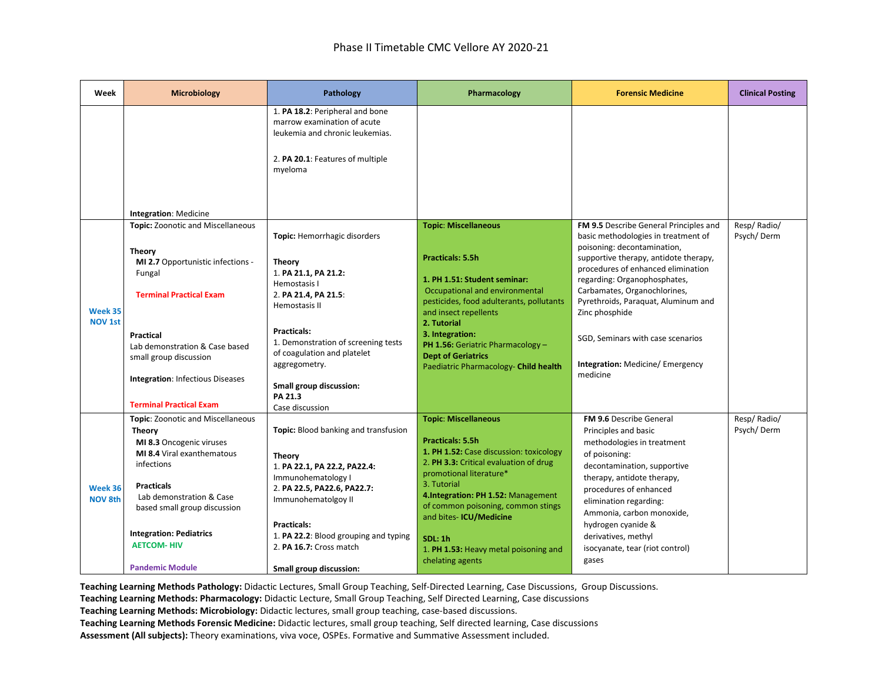| Week                      | <b>Microbiology</b>                                                                                                                                                                                                                                                                          | Pathology                                                                                                                                                                                                                                                                                            | Pharmacology                                                                                                                                                                                                                                                                                                                                                        | <b>Forensic Medicine</b>                                                                                                                                                                                                                                                                                                                                        | <b>Clinical Posting</b>   |
|---------------------------|----------------------------------------------------------------------------------------------------------------------------------------------------------------------------------------------------------------------------------------------------------------------------------------------|------------------------------------------------------------------------------------------------------------------------------------------------------------------------------------------------------------------------------------------------------------------------------------------------------|---------------------------------------------------------------------------------------------------------------------------------------------------------------------------------------------------------------------------------------------------------------------------------------------------------------------------------------------------------------------|-----------------------------------------------------------------------------------------------------------------------------------------------------------------------------------------------------------------------------------------------------------------------------------------------------------------------------------------------------------------|---------------------------|
|                           | Integration: Medicine                                                                                                                                                                                                                                                                        | 1. PA 18.2: Peripheral and bone<br>marrow examination of acute<br>leukemia and chronic leukemias.<br>2. PA 20.1: Features of multiple<br>myeloma                                                                                                                                                     |                                                                                                                                                                                                                                                                                                                                                                     |                                                                                                                                                                                                                                                                                                                                                                 |                           |
|                           | <b>Topic:</b> Zoonotic and Miscellaneous                                                                                                                                                                                                                                                     |                                                                                                                                                                                                                                                                                                      | <b>Topic: Miscellaneous</b>                                                                                                                                                                                                                                                                                                                                         | FM 9.5 Describe General Principles and                                                                                                                                                                                                                                                                                                                          | Resp/Radio/               |
| Week 35<br><b>NOV 1st</b> | <b>Theory</b><br>MI 2.7 Opportunistic infections -<br>Fungal<br><b>Terminal Practical Exam</b><br>Practical<br>Lab demonstration & Case based<br>small group discussion<br><b>Integration: Infectious Diseases</b><br><b>Terminal Practical Exam</b>                                         | Topic: Hemorrhagic disorders<br><b>Theory</b><br>1. PA 21.1, PA 21.2:<br>Hemostasis I<br>2. PA 21.4, PA 21.5:<br>Hemostasis II<br><b>Practicals:</b><br>1. Demonstration of screening tests<br>of coagulation and platelet<br>aggregometry.<br>Small group discussion:<br>PA 21.3<br>Case discussion | <b>Practicals: 5.5h</b><br>1. PH 1.51: Student seminar:<br>Occupational and environmental<br>pesticides, food adulterants, pollutants<br>and insect repellents<br>2. Tutorial<br>3. Integration:<br><b>PH 1.56:</b> Geriatric Pharmacology $-$<br><b>Dept of Geriatrics</b><br>Paediatric Pharmacology- Child health                                                | basic methodologies in treatment of<br>poisoning: decontamination,<br>supportive therapy, antidote therapy,<br>procedures of enhanced elimination<br>regarding: Organophosphates,<br>Carbamates, Organochlorines,<br>Pyrethroids, Paraquat, Aluminum and<br>Zinc phosphide<br>SGD, Seminars with case scenarios<br>Integration: Medicine/ Emergency<br>medicine | Psych/Derm                |
| Week 36<br><b>NOV 8th</b> | Topic: Zoonotic and Miscellaneous<br><b>Theory</b><br>MI 8.3 Oncogenic viruses<br>MI 8.4 Viral exanthematous<br>infections<br><b>Practicals</b><br>Lab demonstration & Case<br>based small group discussion<br><b>Integration: Pediatrics</b><br><b>AETCOM-HIV</b><br><b>Pandemic Module</b> | Topic: Blood banking and transfusion<br><b>Theory</b><br>1. PA 22.1, PA 22.2, PA22.4:<br>Immunohematology I<br>2. PA 22.5, PA22.6, PA22.7:<br>Immunohematolgoy II<br><b>Practicals:</b><br>1. PA 22.2: Blood grouping and typing<br>2. PA 16.7: Cross match<br>Small group discussion:               | <b>Topic: Miscellaneous</b><br><b>Practicals: 5.5h</b><br>1. PH 1.52: Case discussion: toxicology<br>2. PH 3.3: Critical evaluation of drug<br>promotional literature*<br>3. Tutorial<br>4.Integration: PH 1.52: Management<br>of common poisoning, common stings<br>and bites- ICU/Medicine<br>SDL:1h<br>1. PH 1.53: Heavy metal poisoning and<br>chelating agents | <b>FM 9.6 Describe General</b><br>Principles and basic<br>methodologies in treatment<br>of poisoning:<br>decontamination, supportive<br>therapy, antidote therapy,<br>procedures of enhanced<br>elimination regarding:<br>Ammonia, carbon monoxide,<br>hydrogen cyanide &<br>derivatives, methyl<br>isocyanate, tear (riot control)<br>gases                    | Resp/Radio/<br>Psych/Derm |

**Teaching Learning Methods Pathology:** Didactic Lectures, Small Group Teaching, Self-Directed Learning, Case Discussions, Group Discussions.

**Teaching Learning Methods: Pharmacology:** Didactic Lecture, Small Group Teaching, Self Directed Learning, Case discussions

**Teaching Learning Methods: Microbiology:** Didactic lectures, small group teaching, case-based discussions.

**Teaching Learning Methods Forensic Medicine:** Didactic lectures, small group teaching, Self directed learning, Case discussions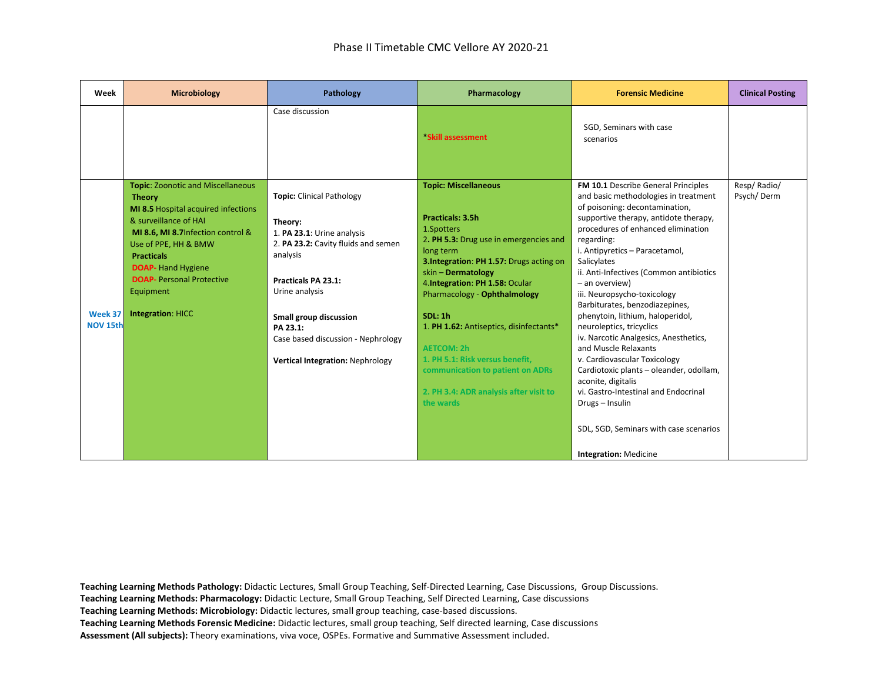| Week                       | <b>Microbiology</b>                                                                                                                                                                                                                                                                                                    | Pathology                                                                                                                                                                                                                                                                             | Pharmacology                                                                                                                                                                                                                                                                                                                                                                                                                                                             | <b>Forensic Medicine</b>                                                                                                                                                                                                                                                                                                                                                                                                                                                                                                                                                                                                                                                                                                                                         | <b>Clinical Posting</b>   |
|----------------------------|------------------------------------------------------------------------------------------------------------------------------------------------------------------------------------------------------------------------------------------------------------------------------------------------------------------------|---------------------------------------------------------------------------------------------------------------------------------------------------------------------------------------------------------------------------------------------------------------------------------------|--------------------------------------------------------------------------------------------------------------------------------------------------------------------------------------------------------------------------------------------------------------------------------------------------------------------------------------------------------------------------------------------------------------------------------------------------------------------------|------------------------------------------------------------------------------------------------------------------------------------------------------------------------------------------------------------------------------------------------------------------------------------------------------------------------------------------------------------------------------------------------------------------------------------------------------------------------------------------------------------------------------------------------------------------------------------------------------------------------------------------------------------------------------------------------------------------------------------------------------------------|---------------------------|
|                            |                                                                                                                                                                                                                                                                                                                        | Case discussion                                                                                                                                                                                                                                                                       | *Skill assessment                                                                                                                                                                                                                                                                                                                                                                                                                                                        | SGD, Seminars with case<br>scenarios                                                                                                                                                                                                                                                                                                                                                                                                                                                                                                                                                                                                                                                                                                                             |                           |
| Week 37<br><b>NOV 15th</b> | <b>Topic: Zoonotic and Miscellaneous</b><br><b>Theory</b><br>MI 8.5 Hospital acquired infections<br>& surveillance of HAI<br>MI 8.6, MI 8.7 Infection control &<br>Use of PPE, HH & BMW<br><b>Practicals</b><br><b>DOAP-</b> Hand Hygiene<br><b>DOAP-</b> Personal Protective<br>Equipment<br><b>Integration: HICC</b> | <b>Topic:</b> Clinical Pathology<br>Theory:<br>1. PA 23.1: Urine analysis<br>2. PA 23.2: Cavity fluids and semen<br>analysis<br>Practicals PA 23.1:<br>Urine analysis<br>Small group discussion<br>PA 23.1:<br>Case based discussion - Nephrology<br>Vertical Integration: Nephrology | <b>Topic: Miscellaneous</b><br>Practicals: 3.5h<br>1.Spotters<br>2. PH 5.3: Drug use in emergencies and<br>long term<br>3.Integration: PH 1.57: Drugs acting on<br>skin - Dermatology<br>4. Integration: PH 1.58: Ocular<br>Pharmacology - Ophthalmology<br><b>SDL: 1h</b><br>1. PH 1.62: Antiseptics, disinfectants*<br><b>AETCOM: 2h</b><br>1. PH 5.1: Risk versus benefit,<br>communication to patient on ADRs<br>2. PH 3.4: ADR analysis after visit to<br>the wards | FM 10.1 Describe General Principles<br>and basic methodologies in treatment<br>of poisoning: decontamination,<br>supportive therapy, antidote therapy,<br>procedures of enhanced elimination<br>regarding:<br>i. Antipyretics - Paracetamol,<br>Salicylates<br>ii. Anti-Infectives (Common antibiotics<br>- an overview)<br>iii. Neuropsycho-toxicology<br>Barbiturates, benzodiazepines,<br>phenytoin, lithium, haloperidol,<br>neuroleptics, tricyclics<br>iv. Narcotic Analgesics, Anesthetics,<br>and Muscle Relaxants<br>v. Cardiovascular Toxicology<br>Cardiotoxic plants - oleander, odollam,<br>aconite, digitalis<br>vi. Gastro-Intestinal and Endocrinal<br>Drugs - Insulin<br>SDL, SGD, Seminars with case scenarios<br><b>Integration: Medicine</b> | Resp/Radio/<br>Psych/Derm |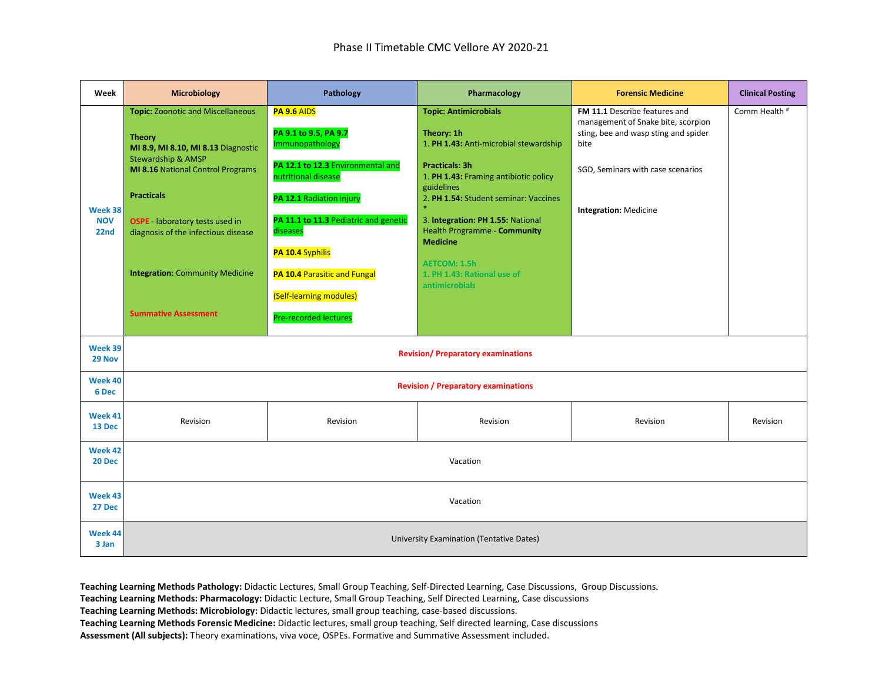| Week                     | <b>Microbiology</b>                                                                                                                                                | Pathology                                                                                    | Pharmacology                                                                                                       | <b>Forensic Medicine</b>                                                                                            | <b>Clinical Posting</b> |  |
|--------------------------|--------------------------------------------------------------------------------------------------------------------------------------------------------------------|----------------------------------------------------------------------------------------------|--------------------------------------------------------------------------------------------------------------------|---------------------------------------------------------------------------------------------------------------------|-------------------------|--|
|                          | <b>Topic: Zoonotic and Miscellaneous</b><br><b>Theory</b><br>MI 8.9, MI 8.10, MI 8.13 Diagnostic<br>Stewardship & AMSP<br><b>MI 8.16 National Control Programs</b> | PA 9.6 AIDS<br>PA 9.1 to 9.5, PA 9.7<br>Immunopathology<br>PA 12.1 to 12.3 Environmental and | <b>Topic: Antimicrobials</b><br>Theory: 1h<br>1. PH 1.43: Anti-microbial stewardship<br><b>Practicals: 3h</b>      | FM 11.1 Describe features and<br>management of Snake bite, scorpion<br>sting, bee and wasp sting and spider<br>bite | Comm Health #           |  |
| Week 38                  | <b>Practicals</b>                                                                                                                                                  | nutritional disease<br>PA 12.1 Radiation injury                                              | 1. PH 1.43: Framing antibiotic policy<br>guidelines<br>2. PH 1.54: Student seminar: Vaccines                       | SGD, Seminars with case scenarios<br>Integration: Medicine                                                          |                         |  |
| <b>NOV</b><br>22nd       | <b>OSPE</b> - laboratory tests used in<br>diagnosis of the infectious disease                                                                                      | PA 11.1 to 11.3 Pediatric and genetic<br>diseases<br>PA 10.4 Syphilis                        | 3. Integration: PH 1.55: National<br><b>Health Programme - Community</b><br><b>Medicine</b><br><b>AETCOM: 1.5h</b> |                                                                                                                     |                         |  |
|                          | <b>Integration: Community Medicine</b>                                                                                                                             | PA 10.4 Parasitic and Fungal<br>(Self-learning modules)                                      | 1. PH 1.43: Rational use of<br><b>antimicrobials</b>                                                               |                                                                                                                     |                         |  |
|                          | <b>Summative Assessment</b>                                                                                                                                        | Pre-recorded lectures                                                                        |                                                                                                                    |                                                                                                                     |                         |  |
| Week 39<br>29 Nov        | <b>Revision/Preparatory examinations</b>                                                                                                                           |                                                                                              |                                                                                                                    |                                                                                                                     |                         |  |
| Week 40<br>6 Dec         |                                                                                                                                                                    |                                                                                              | <b>Revision / Preparatory examinations</b>                                                                         |                                                                                                                     |                         |  |
| Week 41<br>13 Dec        | Revision                                                                                                                                                           | Revision                                                                                     | Revision                                                                                                           | Revision                                                                                                            | Revision                |  |
| Week 42<br><b>20 Dec</b> | Vacation                                                                                                                                                           |                                                                                              |                                                                                                                    |                                                                                                                     |                         |  |
| Week 43<br>27 Dec        | Vacation                                                                                                                                                           |                                                                                              |                                                                                                                    |                                                                                                                     |                         |  |
| Week 44<br>3 Jan         | University Examination (Tentative Dates)                                                                                                                           |                                                                                              |                                                                                                                    |                                                                                                                     |                         |  |

**Teaching Learning Methods: Pharmacology:** Didactic Lecture, Small Group Teaching, Self Directed Learning, Case discussions

**Teaching Learning Methods: Microbiology:** Didactic lectures, small group teaching, case-based discussions.

**Teaching Learning Methods Forensic Medicine:** Didactic lectures, small group teaching, Self directed learning, Case discussions